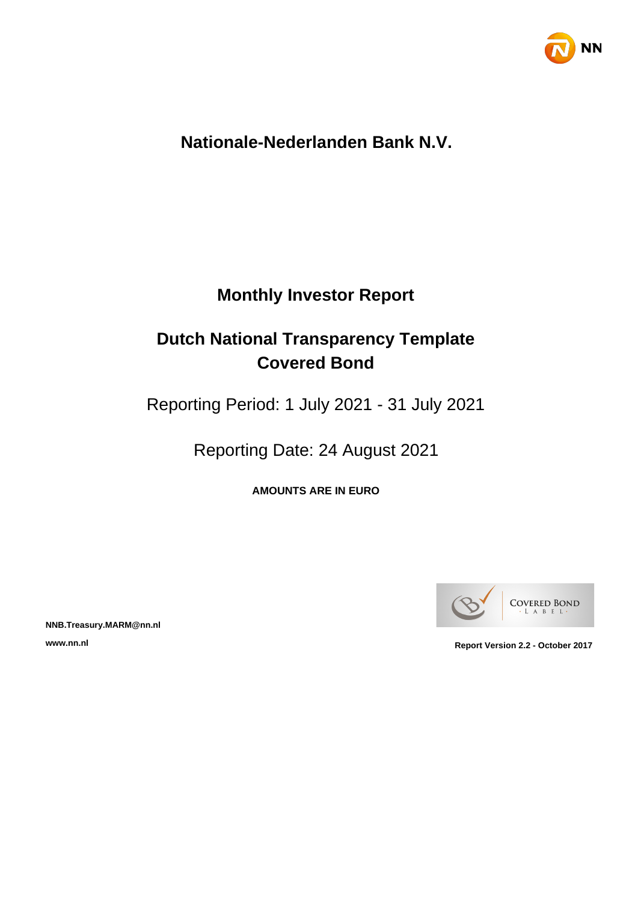

# **Nationale-Nederlanden Bank N.V.**

# **Monthly Investor Report**

# **Dutch National Transparency Template Covered Bond**

Reporting Period: 1 July 2021 - 31 July 2021

Reporting Date: 24 August 2021

**AMOUNTS ARE IN EURO**



**NNB.Treasury.MARM@nn.nl**

**www.nn.nl Report Version 2.2 - October 2017**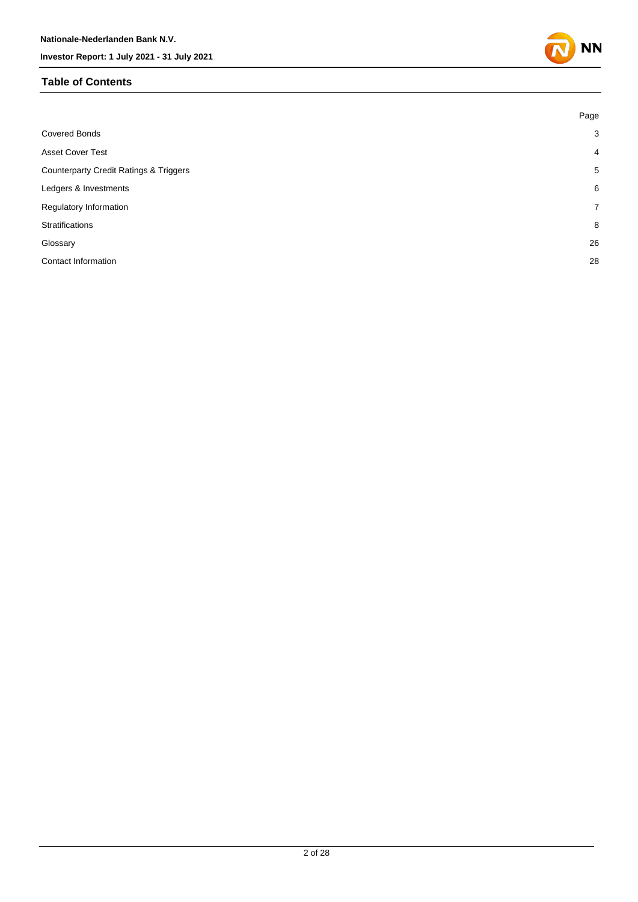#### **Table of Contents**



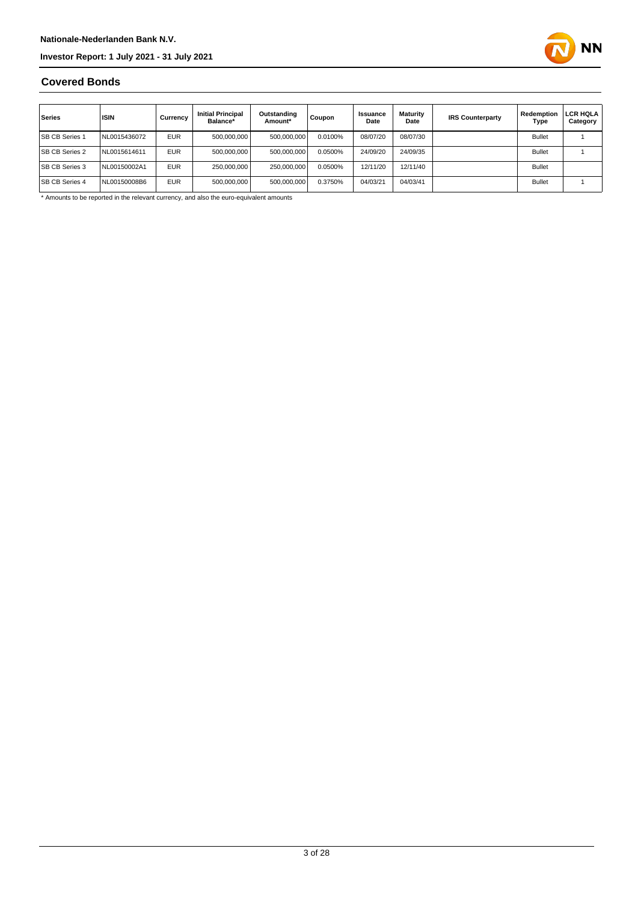

#### **Covered Bonds**

| Series                | <b>ISIN</b>  | Currency   | <b>Initial Principal</b><br>Balance* | Outstanding<br>Amount* | Coupon  | Issuance<br>Date | Maturity<br>Date | <b>IRS Counterparty</b> | Redemption<br>Type | LCR HQLA<br>Category |
|-----------------------|--------------|------------|--------------------------------------|------------------------|---------|------------------|------------------|-------------------------|--------------------|----------------------|
| <b>SB CB Series 1</b> | NL0015436072 | <b>EUR</b> | 500,000,000                          | 500,000,000            | 0.0100% | 08/07/20         | 08/07/30         |                         | <b>Bullet</b>      |                      |
| <b>SB CB Series 2</b> | NL0015614611 | <b>EUR</b> | 500.000.000                          | 500,000,000            | 0.0500% | 24/09/20         | 24/09/35         |                         | <b>Bullet</b>      |                      |
| <b>SB CB Series 3</b> | NL00150002A1 | <b>EUR</b> | 250.000.000                          | 250,000,000            | 0.0500% | 12/11/20         | 12/11/40         |                         | <b>Bullet</b>      |                      |
| <b>SB CB Series 4</b> | NL00150008B6 | <b>EUR</b> | 500,000,000                          | 500,000,000            | 0.3750% | 04/03/21         | 04/03/41         |                         | <b>Bullet</b>      |                      |

\* Amounts to be reported in the relevant currency, and also the euro-equivalent amounts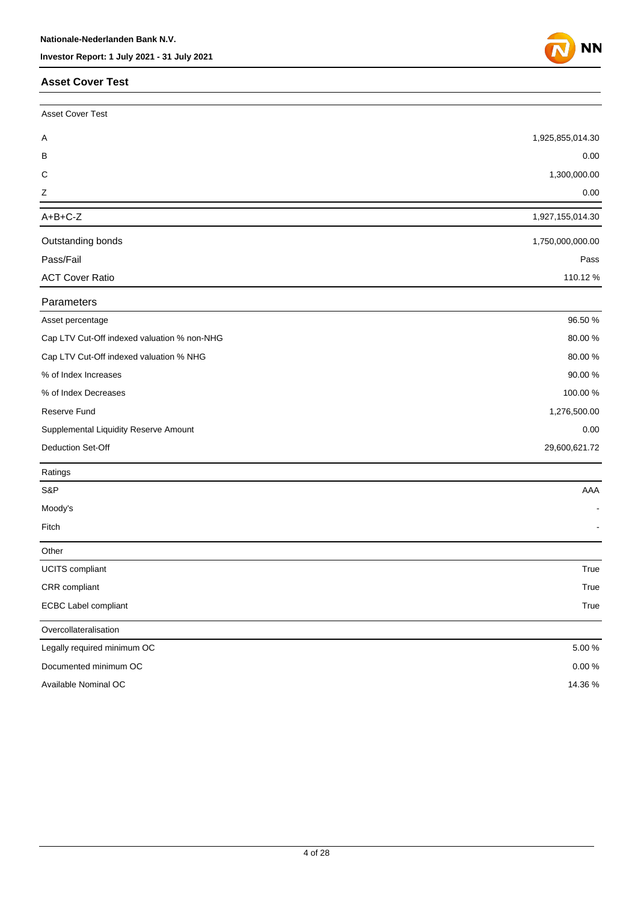#### **Asset Cover Test**



| <b>Asset Cover Test</b>                     |                  |
|---------------------------------------------|------------------|
| A                                           | 1,925,855,014.30 |
| В                                           | 0.00             |
| C                                           | 1,300,000.00     |
| Ζ                                           | 0.00             |
| $A+B+C-Z$                                   | 1,927,155,014.30 |
| Outstanding bonds                           | 1,750,000,000.00 |
| Pass/Fail                                   | Pass             |
| <b>ACT Cover Ratio</b>                      | 110.12%          |
| Parameters                                  |                  |
| Asset percentage                            | 96.50 %          |
| Cap LTV Cut-Off indexed valuation % non-NHG | 80.00%           |
| Cap LTV Cut-Off indexed valuation % NHG     | 80.00%           |
| % of Index Increases                        | 90.00%           |
| % of Index Decreases                        | 100.00 %         |
| <b>Reserve Fund</b>                         | 1,276,500.00     |
| Supplemental Liquidity Reserve Amount       | 0.00             |
| Deduction Set-Off                           | 29,600,621.72    |
| Ratings                                     |                  |
| S&P                                         | AAA              |
| Moody's                                     |                  |
| Fitch                                       |                  |
| Other                                       |                  |
| <b>UCITS</b> compliant                      | True             |
| CRR compliant                               | True             |
| <b>ECBC Label compliant</b>                 | True             |
| Overcollateralisation                       |                  |
| Legally required minimum OC                 | 5.00 %           |
| Documented minimum OC                       | $0.00\,\%$       |
| Available Nominal OC                        | 14.36%           |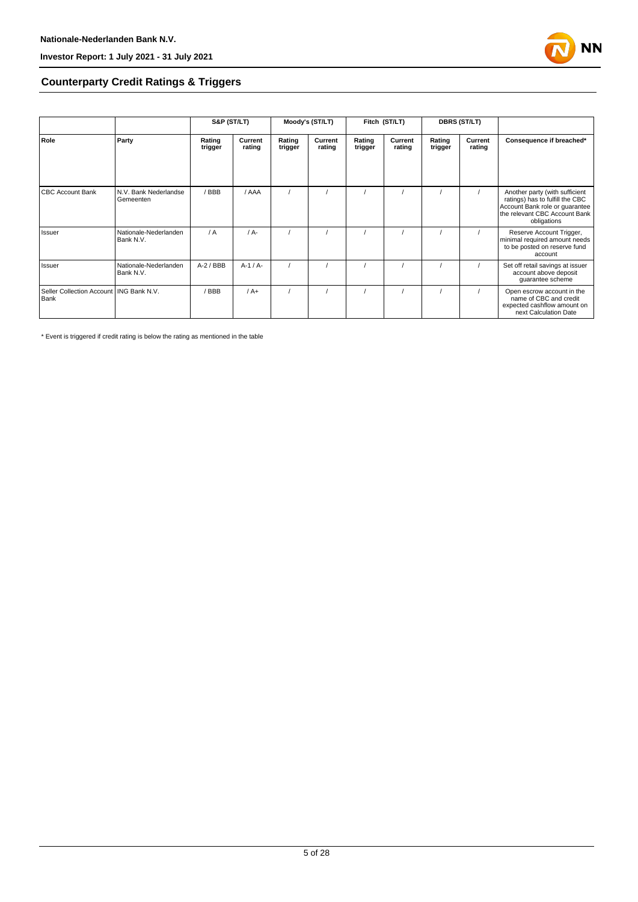

#### **Counterparty Credit Ratings & Triggers**

|                                                   |                                    | S&P (ST/LT)       |                   | Moody's (ST/LT)   |                   | Fitch (ST/LT)     |                   | <b>DBRS (ST/LT)</b> |                   |                                                                                                                                                     |
|---------------------------------------------------|------------------------------------|-------------------|-------------------|-------------------|-------------------|-------------------|-------------------|---------------------|-------------------|-----------------------------------------------------------------------------------------------------------------------------------------------------|
| Role                                              | Party                              | Rating<br>trigger | Current<br>rating | Rating<br>trigger | Current<br>rating | Rating<br>trigger | Current<br>rating | Rating<br>trigger   | Current<br>rating | Consequence if breached*                                                                                                                            |
| <b>CBC Account Bank</b>                           | N.V. Bank Nederlandse<br>Gemeenten | /BBB              | / AAA             |                   |                   |                   |                   |                     |                   | Another party (with sufficient<br>ratings) has to fulfill the CBC<br>Account Bank role or guarantee<br>the relevant CBC Account Bank<br>obligations |
| Issuer                                            | Nationale-Nederlanden<br>Bank N.V. | / A               | $/ A -$           |                   |                   |                   |                   |                     |                   | Reserve Account Trigger,<br>minimal required amount needs<br>to be posted on reserve fund<br>account                                                |
| Issuer                                            | Nationale-Nederlanden<br>Bank N.V. | $A-2$ / BBB       | $A-1/A-$          |                   |                   |                   |                   |                     |                   | Set off retail savings at issuer<br>account above deposit<br>guarantee scheme                                                                       |
| Seller Collection Account   ING Bank N.V.<br>Bank |                                    | / BBB             | $/A+$             |                   |                   |                   |                   |                     |                   | Open escrow account in the<br>name of CBC and credit<br>expected cashflow amount on<br>next Calculation Date                                        |

\* Event is triggered if credit rating is below the rating as mentioned in the table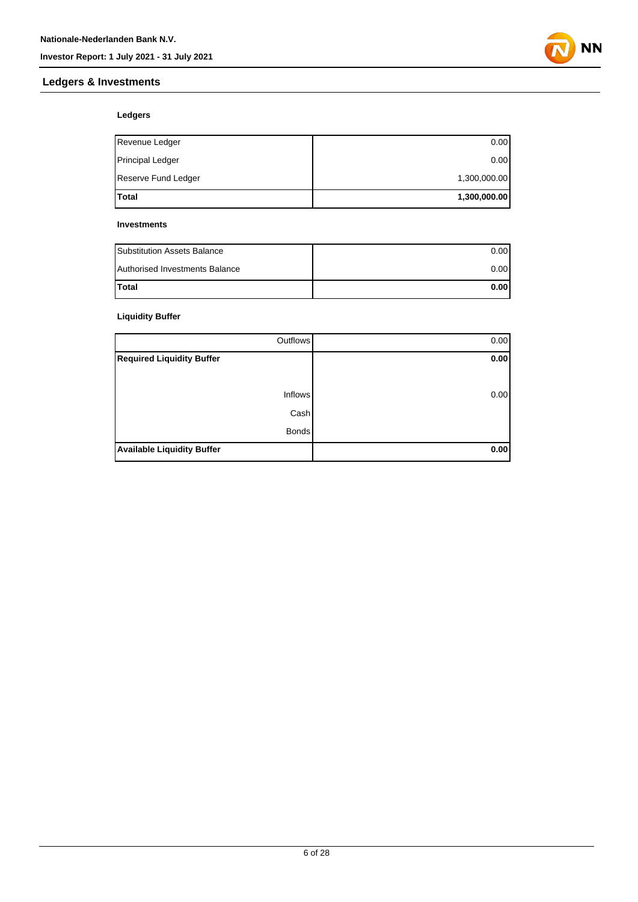### **Ledgers & Investments**



#### **Ledgers**

| <b>Total</b>        | 1,300,000.00 |
|---------------------|--------------|
| Reserve Fund Ledger | 1,300,000.00 |
| Principal Ledger    | 0.00         |
| Revenue Ledger      | 0.00         |

#### **Investments**

| <b>Substitution Assets Balance</b> | 0.001 |
|------------------------------------|-------|
| Authorised Investments Balance     | 0.001 |
| <b>Total</b>                       | 0.001 |

#### **Liquidity Buffer**

| Outflows                          | 0.00 |
|-----------------------------------|------|
| <b>Required Liquidity Buffer</b>  | 0.00 |
|                                   |      |
| <b>Inflows</b>                    | 0.00 |
| Cash                              |      |
| <b>Bonds</b>                      |      |
| <b>Available Liquidity Buffer</b> | 0.00 |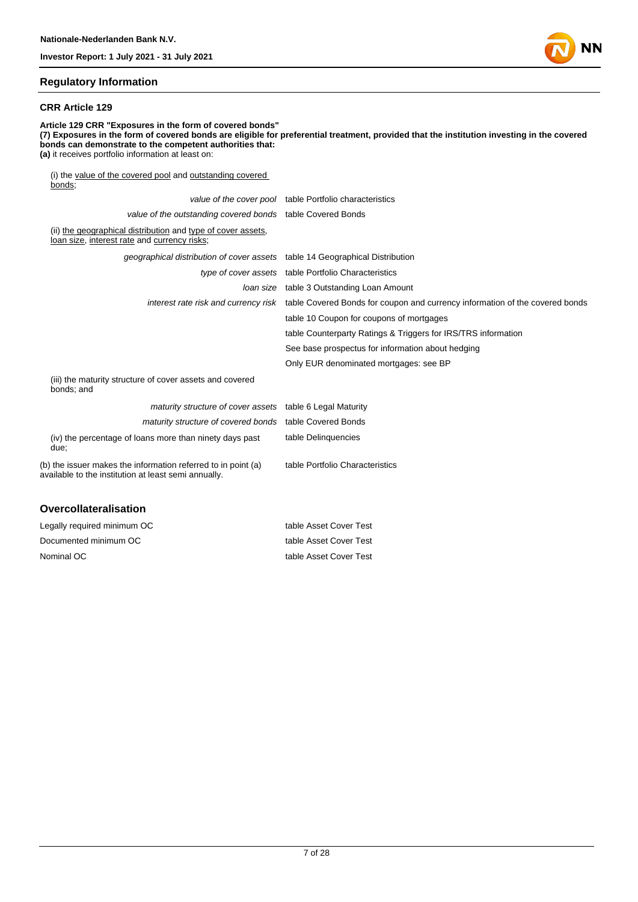#### **Regulatory Information**

#### **CRR Article 129**

**Article 129 CRR "Exposures in the form of covered bonds" (7) Exposures in the form of covered bonds are eligible for preferential treatment, provided that the institution investing in the covered bonds can demonstrate to the competent authorities that: (a)** it receives portfolio information at least on: (i) the value of the covered pool and outstanding covered  $bonds;$ 

|                                                                                                                       | value of the cover pool table Portfolio characteristics                                                           |
|-----------------------------------------------------------------------------------------------------------------------|-------------------------------------------------------------------------------------------------------------------|
| value of the outstanding covered bonds table Covered Bonds                                                            |                                                                                                                   |
| (ii) the geographical distribution and type of cover assets,<br>loan size, interest rate and currency risks;          |                                                                                                                   |
| geographical distribution of cover assets table 14 Geographical Distribution                                          |                                                                                                                   |
|                                                                                                                       | type of cover assets table Portfolio Characteristics                                                              |
|                                                                                                                       | loan size table 3 Outstanding Loan Amount                                                                         |
|                                                                                                                       | interest rate risk and currency risk table Covered Bonds for coupon and currency information of the covered bonds |
|                                                                                                                       | table 10 Coupon for coupons of mortgages                                                                          |
|                                                                                                                       | table Counterparty Ratings & Triggers for IRS/TRS information                                                     |
|                                                                                                                       | See base prospectus for information about hedging                                                                 |
|                                                                                                                       | Only EUR denominated mortgages: see BP                                                                            |
| (iii) the maturity structure of cover assets and covered<br>bonds; and                                                |                                                                                                                   |
| maturity structure of cover assets table 6 Legal Maturity                                                             |                                                                                                                   |
| maturity structure of covered bonds table Covered Bonds                                                               |                                                                                                                   |
| (iv) the percentage of loans more than ninety days past<br>due:                                                       | table Delinquencies                                                                                               |
| (b) the issuer makes the information referred to in point (a)<br>available to the institution at least semi annually. | table Portfolio Characteristics                                                                                   |
| <b>Overcollateralisation</b>                                                                                          |                                                                                                                   |

| Legally required minimum OC | table Asset Cover Test |
|-----------------------------|------------------------|
| Documented minimum OC       | table Asset Cover Test |
| Nominal OC                  | table Asset Cover Test |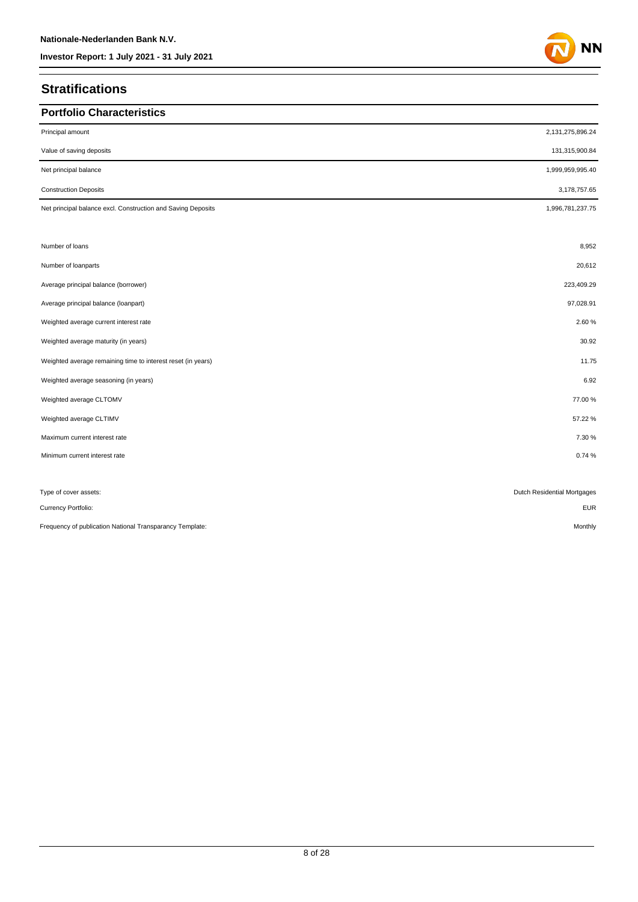## **Stratifications**

| <b>Portfolio Characteristics</b>                             |                             |
|--------------------------------------------------------------|-----------------------------|
| Principal amount                                             | 2,131,275,896.24            |
| Value of saving deposits                                     | 131,315,900.84              |
| Net principal balance                                        | 1,999,959,995.40            |
| <b>Construction Deposits</b>                                 | 3,178,757.65                |
| Net principal balance excl. Construction and Saving Deposits | 1,996,781,237.75            |
|                                                              |                             |
| Number of loans                                              | 8,952                       |
| Number of loanparts                                          | 20,612                      |
| Average principal balance (borrower)                         | 223,409.29                  |
| Average principal balance (loanpart)                         | 97,028.91                   |
| Weighted average current interest rate                       | 2.60%                       |
| Weighted average maturity (in years)                         | 30.92                       |
| Weighted average remaining time to interest reset (in years) | 11.75                       |
| Weighted average seasoning (in years)                        | 6.92                        |
| Weighted average CLTOMV                                      | 77.00 %                     |
| Weighted average CLTIMV                                      | 57.22%                      |
| Maximum current interest rate                                | 7.30 %                      |
| Minimum current interest rate                                | 0.74%                       |
|                                                              |                             |
| Type of cover assets:                                        | Dutch Residential Mortgages |
| Currency Portfolio:                                          | <b>EUR</b>                  |

Frequency of publication National Transparancy Template: Monthly and the material of the material of the material of the material of the material of the material of the monthly Monthly

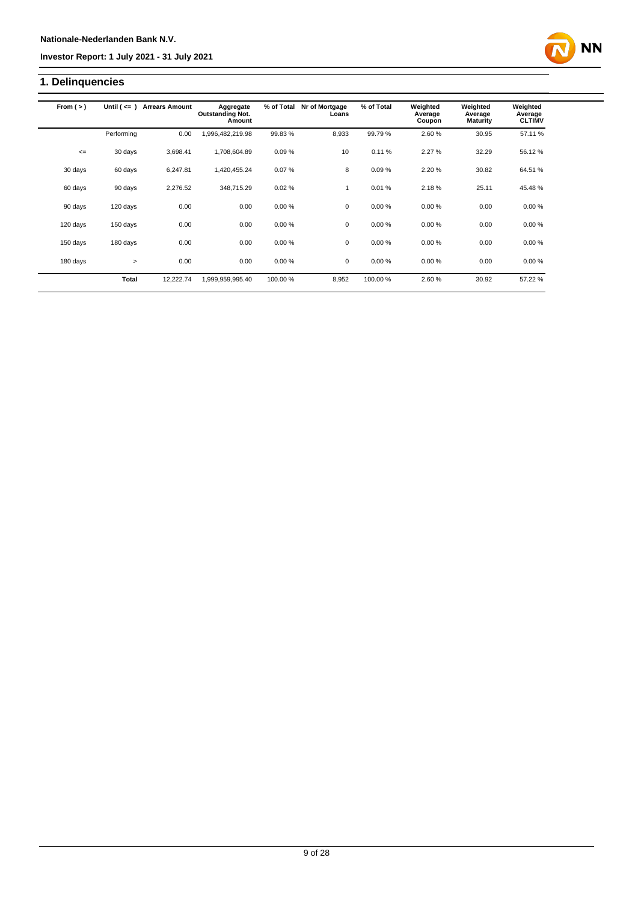# **1. Delinquencies**

| From $(>)$ | Until $($ <= $)$ | <b>Arrears Amount</b> | Aggregate<br><b>Outstanding Not.</b><br>Amount | % of Total | Nr of Mortgage<br>Loans | % of Total | Weighted<br>Average<br>Coupon | Weighted<br>Average<br><b>Maturity</b> | Weighted<br>Average<br><b>CLTIMV</b> |  |
|------------|------------------|-----------------------|------------------------------------------------|------------|-------------------------|------------|-------------------------------|----------------------------------------|--------------------------------------|--|
|            | Performing       | 0.00                  | 1,996,482,219.98                               | 99.83%     | 8,933                   | 99.79%     | 2.60%                         | 30.95                                  | 57.11 %                              |  |
| $\leq$     | 30 days          | 3,698.41              | 1,708,604.89                                   | 0.09%      | 10                      | 0.11%      | 2.27%                         | 32.29                                  | 56.12 %                              |  |
| 30 days    | 60 days          | 6,247.81              | 1,420,455.24                                   | 0.07%      | 8                       | 0.09%      | 2.20%                         | 30.82                                  | 64.51 %                              |  |
| 60 days    | 90 days          | 2,276.52              | 348,715.29                                     | 0.02%      | 1                       | 0.01%      | 2.18%                         | 25.11                                  | 45.48%                               |  |
| 90 days    | 120 days         | 0.00                  | 0.00                                           | 0.00%      | $\mathbf 0$             | 0.00%      | 0.00%                         | 0.00                                   | 0.00%                                |  |
| 120 days   | 150 days         | 0.00                  | 0.00                                           | 0.00%      | $\mathbf 0$             | 0.00%      | 0.00%                         | 0.00                                   | 0.00%                                |  |
| 150 days   | 180 days         | 0.00                  | 0.00                                           | 0.00%      | $\mathbf 0$             | 0.00%      | 0.00%                         | 0.00                                   | 0.00%                                |  |
| 180 days   | $\geq$           | 0.00                  | 0.00                                           | 0.00%      | 0                       | 0.00%      | 0.00%                         | 0.00                                   | 0.00%                                |  |
|            | Total            | 12,222.74             | 1,999,959,995.40                               | 100.00 %   | 8,952                   | 100.00%    | 2.60%                         | 30.92                                  | 57.22 %                              |  |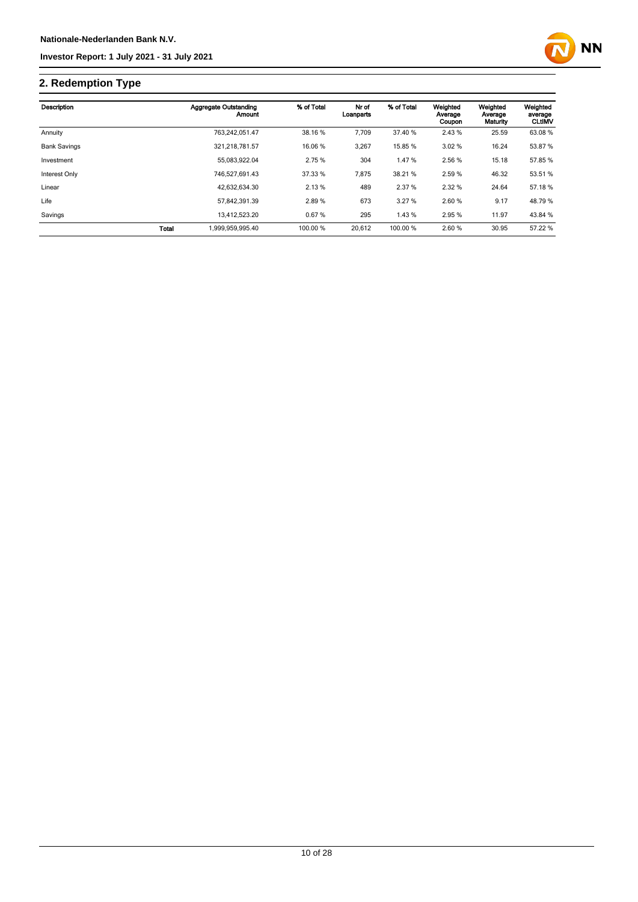

# **2. Redemption Type**

| Description         |              | Aggregate Outstanding<br>Amount | % of Total | Nr of<br>Loanparts | % of Total | Weighted<br>Average<br>Coupon | Weighted<br>Average<br>Maturity | Weighted<br>average<br><b>CLtIMV</b> |
|---------------------|--------------|---------------------------------|------------|--------------------|------------|-------------------------------|---------------------------------|--------------------------------------|
| Annuity             |              | 763.242.051.47                  | 38.16 %    | 7,709              | 37.40 %    | 2.43 %                        | 25.59                           | 63.08 %                              |
| <b>Bank Savings</b> |              | 321.218.781.57                  | 16.06 %    | 3,267              | 15.85 %    | 3.02%                         | 16.24                           | 53.87%                               |
| Investment          |              | 55.083.922.04                   | 2.75 %     | 304                | 1.47%      | 2.56 %                        | 15.18                           | 57.85 %                              |
| Interest Only       |              | 746.527.691.43                  | 37.33 %    | 7,875              | 38.21 %    | 2.59 %                        | 46.32                           | 53.51 %                              |
| Linear              |              | 42,632,634.30                   | 2.13%      | 489                | 2.37 %     | 2.32 %                        | 24.64                           | 57.18 %                              |
| Life                |              | 57.842.391.39                   | 2.89%      | 673                | 3.27%      | 2.60 %                        | 9.17                            | 48.79%                               |
| Savings             |              | 13,412,523.20                   | 0.67%      | 295                | 1.43 %     | 2.95 %                        | 11.97                           | 43.84 %                              |
|                     | <b>Total</b> | 1,999,959,995.40                | 100.00 %   | 20.612             | 100.00 %   | 2.60 %                        | 30.95                           | 57.22 %                              |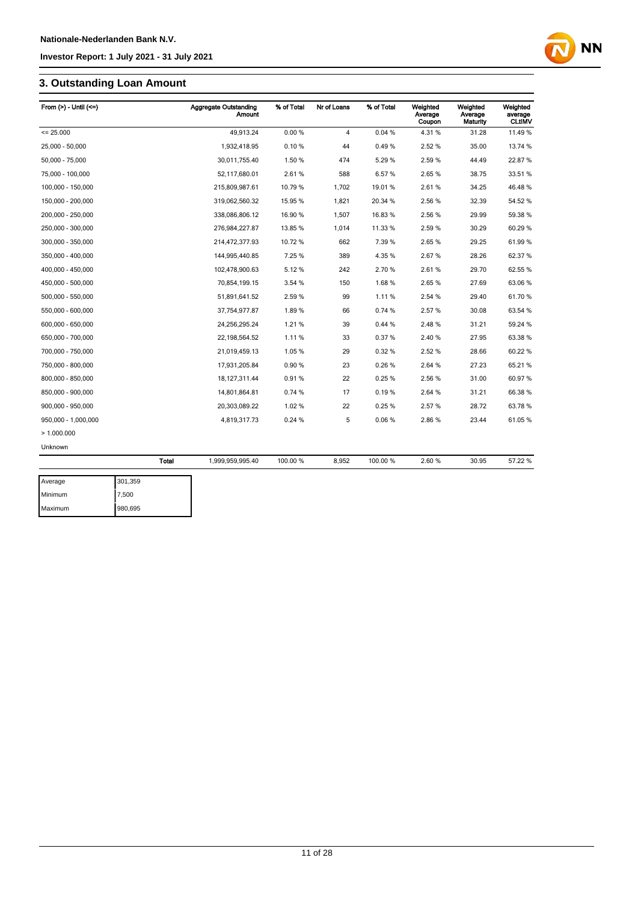# **3. Outstanding Loan Amount**

| From $(>)$ - Until $(<=)$ |              | Aggregate Outstanding<br><b>Amount</b> | % of Total | Nr of Loans    | % of Total | Weighted<br>Average<br>Coupon | Weighted<br>Average<br>Maturity | Weighted<br>average<br><b>CLUMV</b> |
|---------------------------|--------------|----------------------------------------|------------|----------------|------------|-------------------------------|---------------------------------|-------------------------------------|
| $= 25.000$                |              | 49,913.24                              | 0.00%      | $\overline{4}$ | 0.04%      | 4.31%                         | 31.28                           | 11.49 %                             |
| 25,000 - 50,000           |              | 1,932,418.95                           | 0.10%      | 44             | 0.49%      | 2.52 %                        | 35.00                           | 13.74 %                             |
| 50,000 - 75,000           |              | 30,011,755.40                          | 1.50 %     | 474            | 5.29 %     | 2.59 %                        | 44.49                           | 22.87 %                             |
| 75,000 - 100,000          |              | 52,117,680.01                          | 2.61%      | 588            | 6.57%      | 2.65%                         | 38.75                           | 33.51 %                             |
| 100,000 - 150,000         |              | 215,809,987.61                         | 10.79 %    | 1,702          | 19.01%     | 2.61%                         | 34.25                           | 46.48%                              |
| 150,000 - 200,000         |              | 319,062,560.32                         | 15.95 %    | 1,821          | 20.34 %    | 2.56 %                        | 32.39                           | 54.52 %                             |
| 200,000 - 250,000         |              | 338,086,806.12                         | 16.90 %    | 1,507          | 16.83%     | 2.56 %                        | 29.99                           | 59.38 %                             |
| 250,000 - 300,000         |              | 276,984,227.87                         | 13.85 %    | 1,014          | 11.33 %    | 2.59%                         | 30.29                           | 60.29 %                             |
| 300,000 - 350,000         |              | 214,472,377.93                         | 10.72 %    | 662            | 7.39%      | 2.65%                         | 29.25                           | 61.99 %                             |
| 350,000 - 400,000         |              | 144,995,440.85                         | 7.25 %     | 389            | 4.35%      | 2.67%                         | 28.26                           | 62.37 %                             |
| 400,000 - 450,000         |              | 102,478,900.63                         | 5.12%      | 242            | 2.70%      | 2.61%                         | 29.70                           | 62.55 %                             |
| 450.000 - 500.000         |              | 70,854,199.15                          | 3.54 %     | 150            | 1.68%      | 2.65%                         | 27.69                           | 63.06 %                             |
| 500,000 - 550,000         |              | 51,891,641.52                          | 2.59%      | 99             | 1.11%      | 2.54 %                        | 29.40                           | 61.70%                              |
| 550,000 - 600,000         |              | 37,754,977.87                          | 1.89%      | 66             | 0.74%      | 2.57%                         | 30.08                           | 63.54 %                             |
| 600,000 - 650,000         |              | 24,256,295.24                          | 1.21%      | 39             | 0.44%      | 2.48%                         | 31.21                           | 59.24 %                             |
| 650,000 - 700,000         |              | 22,198,564.52                          | 1.11%      | 33             | 0.37%      | 2.40%                         | 27.95                           | 63.38 %                             |
| 700,000 - 750,000         |              | 21,019,459.13                          | 1.05%      | 29             | 0.32%      | 2.52 %                        | 28.66                           | 60.22 %                             |
| 750,000 - 800,000         |              | 17,931,205.84                          | 0.90%      | 23             | 0.26%      | 2.64 %                        | 27.23                           | 65.21 %                             |
| 800,000 - 850,000         |              | 18, 127, 311.44                        | 0.91%      | 22             | 0.25%      | 2.56 %                        | 31.00                           | 60.97%                              |
| 850,000 - 900,000         |              | 14,801,864.81                          | 0.74%      | 17             | 0.19%      | 2.64 %                        | 31.21                           | 66.38 %                             |
| 900,000 - 950,000         |              | 20,303,089.22                          | 1.02%      | 22             | 0.25%      | 2.57%                         | 28.72                           | 63.78 %                             |
| 950,000 - 1,000,000       |              | 4,819,317.73                           | 0.24%      | 5              | 0.06%      | 2.86%                         | 23.44                           | 61.05%                              |
| >1.000.000                |              |                                        |            |                |            |                               |                                 |                                     |
| Unknown                   |              |                                        |            |                |            |                               |                                 |                                     |
|                           | <b>Total</b> | 1,999,959,995.40                       | 100.00 %   | 8,952          | 100.00 %   | 2.60%                         | 30.95                           | 57.22 %                             |
| Average                   | 301,359      |                                        |            |                |            |                               |                                 |                                     |
| Minimum                   | 7.500        |                                        |            |                |            |                               |                                 |                                     |

| Average | 301,359 |
|---------|---------|
| Minimum | 7,500   |
| Maximum | 980,695 |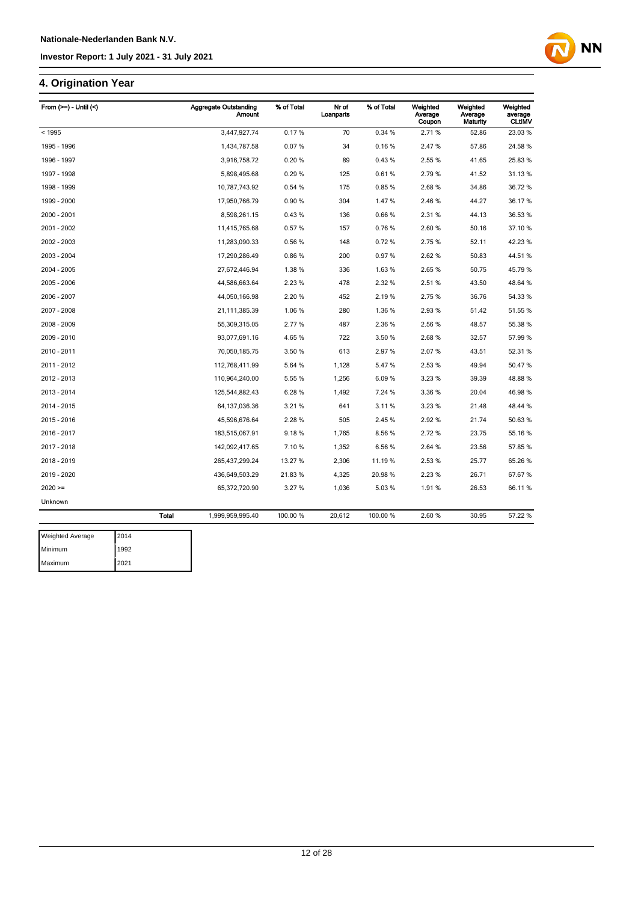### **4. Origination Year**

| From $(>=) -$ Until $($ | <b>Aggregate Outstanding</b><br><b>Amount</b> | % of Total | Nr of<br>Loanparts | % of Total | Weighted<br>Average<br>Coupon | Weighted<br>Average<br>Maturity | Weighted<br>average<br><b>CLtIMV</b> |
|-------------------------|-----------------------------------------------|------------|--------------------|------------|-------------------------------|---------------------------------|--------------------------------------|
| < 1995                  | 3,447,927.74                                  | 0.17%      | 70                 | 0.34 %     | 2.71%                         | 52.86                           | 23.03%                               |
| 1995 - 1996             | 1,434,787.58                                  | 0.07%      | 34                 | 0.16%      | 2.47%                         | 57.86                           | 24.58 %                              |
| 1996 - 1997             | 3,916,758.72                                  | 0.20%      | 89                 | 0.43%      | 2.55 %                        | 41.65                           | 25.83%                               |
| 1997 - 1998             | 5,898,495.68                                  | 0.29%      | 125                | 0.61%      | 2.79%                         | 41.52                           | 31.13 %                              |
| 1998 - 1999             | 10,787,743.92                                 | 0.54 %     | 175                | 0.85%      | 2.68%                         | 34.86                           | 36.72 %                              |
| 1999 - 2000             | 17,950,766.79                                 | 0.90%      | 304                | 1.47%      | 2.46 %                        | 44.27                           | 36.17 %                              |
| 2000 - 2001             | 8,598,261.15                                  | 0.43%      | 136                | 0.66%      | 2.31%                         | 44.13                           | 36.53 %                              |
| 2001 - 2002             | 11,415,765.68                                 | 0.57%      | 157                | 0.76%      | 2.60%                         | 50.16                           | 37.10%                               |
| 2002 - 2003             | 11,283,090.33                                 | 0.56%      | 148                | 0.72%      | 2.75 %                        | 52.11                           | 42.23 %                              |
| 2003 - 2004             | 17,290,286.49                                 | 0.86%      | 200                | 0.97%      | 2.62%                         | 50.83                           | 44.51%                               |
| 2004 - 2005             | 27,672,446.94                                 | 1.38%      | 336                | 1.63%      | 2.65%                         | 50.75                           | 45.79 %                              |
| 2005 - 2006             | 44,586,663.64                                 | 2.23%      | 478                | 2.32 %     | 2.51%                         | 43.50                           | 48.64 %                              |
| 2006 - 2007             | 44,050,166.98                                 | 2.20%      | 452                | 2.19%      | 2.75 %                        | 36.76                           | 54.33 %                              |
| 2007 - 2008             | 21,111,385.39                                 | 1.06%      | 280                | 1.36%      | 2.93%                         | 51.42                           | 51.55 %                              |
| 2008 - 2009             | 55,309,315.05                                 | 2.77 %     | 487                | 2.36 %     | 2.56 %                        | 48.57                           | 55.38 %                              |
| 2009 - 2010             | 93,077,691.16                                 | 4.65%      | 722                | 3.50 %     | 2.68%                         | 32.57                           | 57.99 %                              |
| 2010 - 2011             | 70,050,185.75                                 | 3.50 %     | 613                | 2.97%      | 2.07%                         | 43.51                           | 52.31 %                              |
| 2011 - 2012             | 112,768,411.99                                | 5.64 %     | 1,128              | 5.47%      | 2.53 %                        | 49.94                           | 50.47%                               |
| 2012 - 2013             | 110,964,240.00                                | 5.55 %     | 1,256              | 6.09%      | 3.23 %                        | 39.39                           | 48.88%                               |
| 2013 - 2014             | 125,544,882.43                                | 6.28%      | 1,492              | 7.24 %     | 3.36 %                        | 20.04                           | 46.98%                               |
| 2014 - 2015             | 64, 137, 036. 36                              | 3.21%      | 641                | 3.11%      | 3.23%                         | 21.48                           | 48.44 %                              |
| 2015 - 2016             | 45,596,676.64                                 | 2.28 %     | 505                | 2.45%      | 2.92%                         | 21.74                           | 50.63%                               |
| 2016 - 2017             | 183,515,067.91                                | 9.18%      | 1,765              | 8.56%      | 2.72%                         | 23.75                           | 55.16 %                              |
| 2017 - 2018             | 142,092,417.65                                | 7.10 %     | 1,352              | 6.56%      | 2.64 %                        | 23.56                           | 57.85 %                              |
| 2018 - 2019             | 265,437,299.24                                | 13.27 %    | 2,306              | 11.19%     | 2.53%                         | 25.77                           | 65.26 %                              |
| 2019 - 2020             | 436,649,503.29                                | 21.83%     | 4,325              | 20.98%     | 2.23%                         | 26.71                           | 67.67%                               |
| $2020 =$                | 65,372,720.90                                 | 3.27 %     | 1,036              | 5.03%      | 1.91%                         | 26.53                           | 66.11%                               |
| Unknown                 |                                               |            |                    |            |                               |                                 |                                      |
|                         | <b>Total</b><br>1,999,959,995.40              | 100.00 %   | 20,612             | 100.00%    | 2.60%                         | 30.95                           | 57.22 %                              |

| <b>Weighted Average</b> | 2014 |
|-------------------------|------|
| <b>Minimum</b>          | 1992 |
| Maximum                 | 2021 |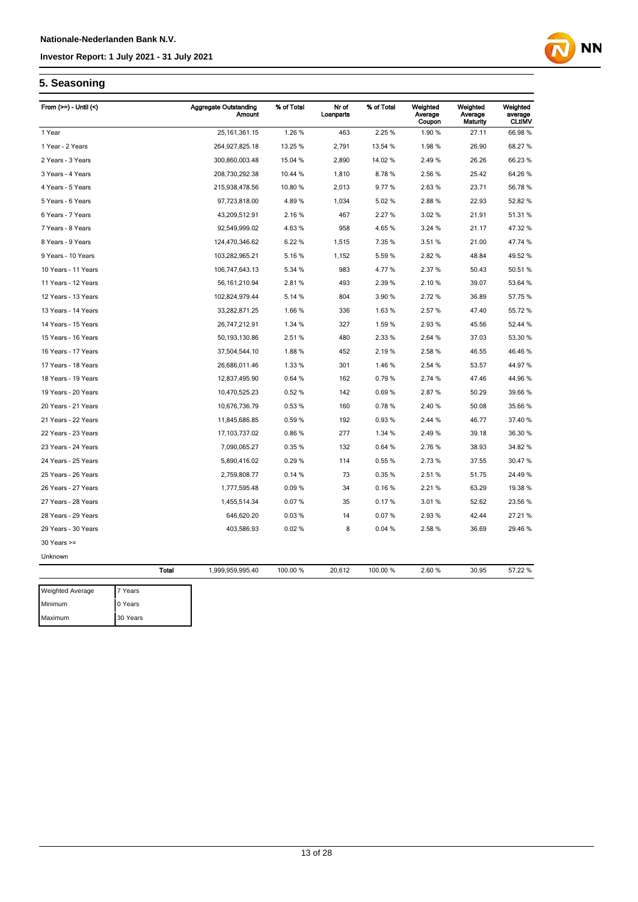

#### **5. Seasoning**

| From $(>=)$ - Until $($ |              | <b>Aggregate Outstanding</b><br><b>Amount</b> | % of Total | Nr of<br>Loanparts | % of Total | Weighted<br>Average<br>Coupon | Weighted<br>Average<br><b>Maturity</b> | Weighted<br>average<br><b>CLtIMV</b> |
|-------------------------|--------------|-----------------------------------------------|------------|--------------------|------------|-------------------------------|----------------------------------------|--------------------------------------|
| 1 Year                  |              | 25, 161, 361. 15                              | 1.26%      | 463                | 2.25 %     | 1.90%                         | 27.11                                  | 66.98%                               |
| 1 Year - 2 Years        |              | 264,927,825.18                                | 13.25 %    | 2,791              | 13.54 %    | 1.98%                         | 26.90                                  | 68.27 %                              |
| 2 Years - 3 Years       |              | 300,860,003.48                                | 15.04 %    | 2,890              | 14.02%     | 2.49%                         | 26.26                                  | 66.23 %                              |
| 3 Years - 4 Years       |              | 208,730,292.38                                | 10.44 %    | 1,810              | 8.78%      | 2.56 %                        | 25.42                                  | 64.26 %                              |
| 4 Years - 5 Years       |              | 215,938,478.56                                | 10.80 %    | 2,013              | 9.77%      | 2.63%                         | 23.71                                  | 56.78 %                              |
| 5 Years - 6 Years       |              | 97,723,818.00                                 | 4.89%      | 1,034              | 5.02%      | 2.88%                         | 22.93                                  | 52.82 %                              |
| 6 Years - 7 Years       |              | 43,209,512.91                                 | 2.16 %     | 467                | 2.27 %     | 3.02%                         | 21.91                                  | 51.31 %                              |
| 7 Years - 8 Years       |              | 92,549,999.02                                 | 4.63%      | 958                | 4.65%      | 3.24 %                        | 21.17                                  | 47.32 %                              |
| 8 Years - 9 Years       |              | 124,470,346.62                                | 6.22%      | 1,515              | 7.35 %     | 3.51%                         | 21.00                                  | 47.74 %                              |
| 9 Years - 10 Years      |              | 103,282,965.21                                | 5.16%      | 1,152              | 5.59%      | 2.82%                         | 48.84                                  | 49.52%                               |
| 10 Years - 11 Years     |              | 106,747,643.13                                | 5.34 %     | 983                | 4.77%      | 2.37 %                        | 50.43                                  | 50.51 %                              |
| 11 Years - 12 Years     |              | 56, 161, 210.94                               | 2.81%      | 493                | 2.39 %     | 2.10%                         | 39.07                                  | 53.64 %                              |
| 12 Years - 13 Years     |              | 102,824,979.44                                | 5.14 %     | 804                | 3.90 %     | 2.72%                         | 36.89                                  | 57.75 %                              |
| 13 Years - 14 Years     |              | 33,282,871.25                                 | 1.66%      | 336                | 1.63%      | 2.57%                         | 47.40                                  | 55.72 %                              |
| 14 Years - 15 Years     |              | 26,747,212.91                                 | 1.34 %     | 327                | 1.59%      | 2.93%                         | 45.56                                  | 52.44 %                              |
| 15 Years - 16 Years     |              | 50, 193, 130.86                               | 2.51%      | 480                | 2.33 %     | 2.64 %                        | 37.03                                  | 53.30 %                              |
| 16 Years - 17 Years     |              | 37,504,544.10                                 | 1.88%      | 452                | 2.19 %     | 2.58%                         | 46.55                                  | 46.46 %                              |
| 17 Years - 18 Years     |              | 26,686,011.46                                 | 1.33 %     | 301                | 1.46%      | 2.54 %                        | 53.57                                  | 44.97%                               |
| 18 Years - 19 Years     |              | 12,837,495.90                                 | 0.64 %     | 162                | 0.79%      | 2.74 %                        | 47.46                                  | 44.96%                               |
| 19 Years - 20 Years     |              | 10,470,525.23                                 | 0.52%      | 142                | 0.69%      | 2.87%                         | 50.29                                  | 39.66 %                              |
| 20 Years - 21 Years     |              | 10,676,736.79                                 | 0.53%      | 160                | 0.78%      | 2.40%                         | 50.08                                  | 35.66 %                              |
| 21 Years - 22 Years     |              | 11,845,686.85                                 | 0.59%      | 192                | 0.93%      | 2.44 %                        | 46.77                                  | 37.40 %                              |
| 22 Years - 23 Years     |              | 17, 103, 737.02                               | 0.86%      | 277                | 1.34 %     | 2.49%                         | 39.18                                  | 36.30 %                              |
| 23 Years - 24 Years     |              | 7,090,065.27                                  | 0.35%      | 132                | 0.64%      | 2.76%                         | 38.93                                  | 34.82 %                              |
| 24 Years - 25 Years     |              | 5,890,416.02                                  | 0.29%      | 114                | 0.55%      | 2.73%                         | 37.55                                  | 30.47 %                              |
| 25 Years - 26 Years     |              | 2,759,808.77                                  | 0.14%      | 73                 | 0.35%      | 2.51%                         | 51.75                                  | 24.49 %                              |
| 26 Years - 27 Years     |              | 1,777,595.48                                  | 0.09%      | 34                 | 0.16%      | 2.21 %                        | 63.29                                  | 19.38 %                              |
| 27 Years - 28 Years     |              | 1,455,514.34                                  | 0.07%      | 35                 | 0.17%      | 3.01%                         | 52.62                                  | 23.56 %                              |
| 28 Years - 29 Years     |              | 646,620.20                                    | 0.03%      | 14                 | 0.07%      | 2.93%                         | 42.44                                  | 27.21 %                              |
| 29 Years - 30 Years     |              | 403,586.93                                    | 0.02%      | 8                  | 0.04%      | 2.58%                         | 36.69                                  | 29.46 %                              |
| $30$ Years $>=$         |              |                                               |            |                    |            |                               |                                        |                                      |
| Unknown                 |              |                                               |            |                    |            |                               |                                        |                                      |
|                         | <b>Total</b> | 1,999,959,995.40                              | 100.00 %   | 20,612             | 100.00%    | 2.60%                         | 30.95                                  | 57.22 %                              |
| <b>Weighted Average</b> | 7 Years      |                                               |            |                    |            |                               |                                        |                                      |
| Minimum                 | 0 Years      |                                               |            |                    |            |                               |                                        |                                      |

Maximum 30 Years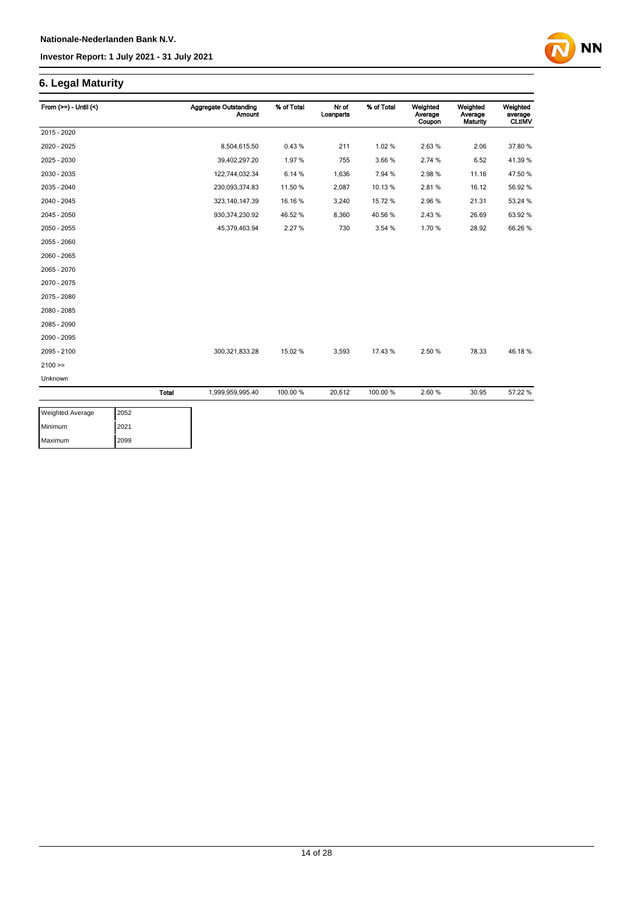## **6. Legal Maturity**

| From $(>=)$ - Until $($ |              | <b>Aggregate Outstanding</b><br><b>Amount</b> | % of Total | Nr of<br>Loanparts | % of Total | Weighted<br>Average<br>Coupon | Weighted<br>Average<br>Maturity | Weighted<br>average<br><b>CLtIMV</b> |
|-------------------------|--------------|-----------------------------------------------|------------|--------------------|------------|-------------------------------|---------------------------------|--------------------------------------|
| 2015 - 2020             |              |                                               |            |                    |            |                               |                                 |                                      |
| 2020 - 2025             |              | 8,504,615.50                                  | 0.43%      | 211                | 1.02%      | 2.63%                         | 2.06                            | 37.80 %                              |
| 2025 - 2030             |              | 39,402,297.20                                 | 1.97%      | 755                | 3.66%      | 2.74 %                        | 6.52                            | 41.39 %                              |
| 2030 - 2035             |              | 122,744,032.34                                | 6.14%      | 1,636              | 7.94 %     | 2.98%                         | 11.16                           | 47.50 %                              |
| 2035 - 2040             |              | 230,093,374.83                                | 11.50 %    | 2,087              | 10.13%     | 2.81%                         | 16.12                           | 56.92%                               |
| 2040 - 2045             |              | 323, 140, 147.39                              | 16.16 %    | 3,240              | 15.72%     | 2.96%                         | 21.31                           | 53.24 %                              |
| 2045 - 2050             |              | 930,374,230.92                                | 46.52%     | 8,360              | 40.56%     | 2.43%                         | 26.69                           | 63.92 %                              |
| 2050 - 2055             |              | 45,379,463.94                                 | 2.27%      | 730                | 3.54 %     | 1.70%                         | 28.92                           | 66.26 %                              |
| 2055 - 2060             |              |                                               |            |                    |            |                               |                                 |                                      |
| 2060 - 2065             |              |                                               |            |                    |            |                               |                                 |                                      |
| 2065 - 2070             |              |                                               |            |                    |            |                               |                                 |                                      |
| 2070 - 2075             |              |                                               |            |                    |            |                               |                                 |                                      |
| 2075 - 2080             |              |                                               |            |                    |            |                               |                                 |                                      |
| 2080 - 2085             |              |                                               |            |                    |            |                               |                                 |                                      |
| 2085 - 2090             |              |                                               |            |                    |            |                               |                                 |                                      |
| 2090 - 2095             |              |                                               |            |                    |            |                               |                                 |                                      |
| 2095 - 2100             |              | 300,321,833.28                                | 15.02 %    | 3,593              | 17.43 %    | 2.50%                         | 78.33                           | 46.18%                               |
| $2100 =$                |              |                                               |            |                    |            |                               |                                 |                                      |
| Unknown                 |              |                                               |            |                    |            |                               |                                 |                                      |
|                         | <b>Total</b> | 1,999,959,995.40                              | 100.00 %   | 20,612             | 100.00%    | 2.60%                         | 30.95                           | 57.22 %                              |

| <b>Weighted Average</b> | 2052 |
|-------------------------|------|
| Minimum                 | 2021 |
| Maximum                 | 2099 |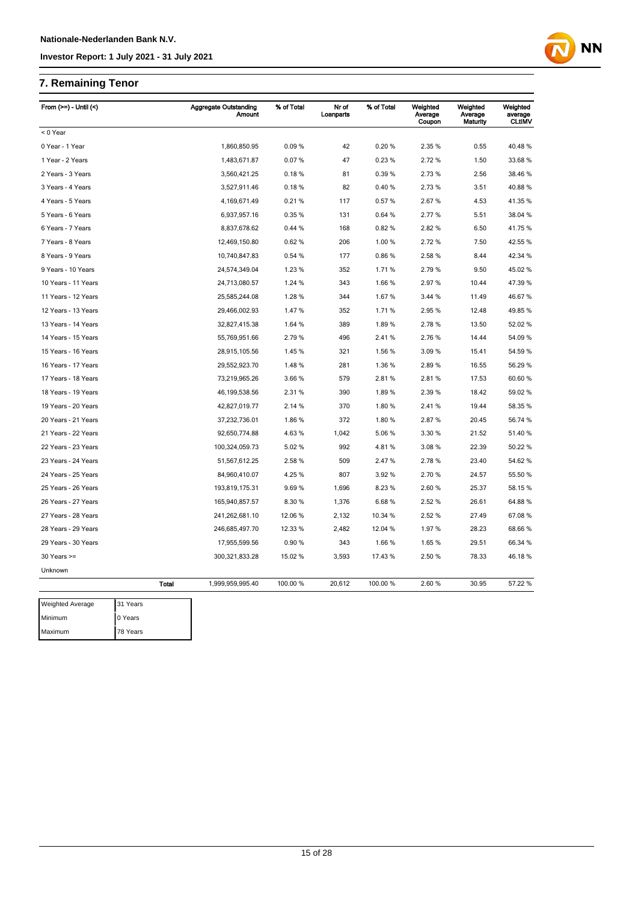# **7. Remaining Tenor**

| From $(>=) -$ Until $($ |          |              | <b>Aggregate Outstanding</b><br>Amount | % of Total | Nr of<br>Loanparts | % of Total | Weighted<br>Average<br>Coupon | Weighted<br>Average<br>Maturity | Weighted<br>average<br><b>CLtIMV</b> |
|-------------------------|----------|--------------|----------------------------------------|------------|--------------------|------------|-------------------------------|---------------------------------|--------------------------------------|
| < 0 Year                |          |              |                                        |            |                    |            |                               |                                 |                                      |
| 0 Year - 1 Year         |          |              | 1,860,850.95                           | 0.09%      | 42                 | 0.20%      | 2.35 %                        | 0.55                            | 40.48%                               |
| 1 Year - 2 Years        |          |              | 1,483,671.87                           | 0.07%      | 47                 | 0.23%      | 2.72 %                        | 1.50                            | 33.68 %                              |
| 2 Years - 3 Years       |          |              | 3,560,421.25                           | 0.18%      | 81                 | 0.39%      | 2.73 %                        | 2.56                            | 38.46 %                              |
| 3 Years - 4 Years       |          |              | 3,527,911.46                           | 0.18%      | 82                 | 0.40%      | 2.73%                         | 3.51                            | 40.88%                               |
| 4 Years - 5 Years       |          |              | 4,169,671.49                           | 0.21%      | 117                | 0.57%      | 2.67%                         | 4.53                            | 41.35 %                              |
| 5 Years - 6 Years       |          |              | 6,937,957.16                           | 0.35%      | 131                | 0.64%      | 2.77 %                        | 5.51                            | 38.04 %                              |
| 6 Years - 7 Years       |          |              | 8,837,678.62                           | 0.44 %     | 168                | 0.82%      | 2.82%                         | 6.50                            | 41.75 %                              |
| 7 Years - 8 Years       |          |              | 12,469,150.80                          | 0.62%      | 206                | 1.00 %     | 2.72 %                        | 7.50                            | 42.55 %                              |
| 8 Years - 9 Years       |          |              | 10,740,847.83                          | 0.54%      | 177                | 0.86%      | 2.58 %                        | 8.44                            | 42.34 %                              |
| 9 Years - 10 Years      |          |              | 24,574,349.04                          | 1.23 %     | 352                | 1.71%      | 2.79%                         | 9.50                            | 45.02%                               |
| 10 Years - 11 Years     |          |              | 24,713,080.57                          | 1.24 %     | 343                | 1.66 %     | 2.97%                         | 10.44                           | 47.39 %                              |
| 11 Years - 12 Years     |          |              | 25,585,244.08                          | 1.28%      | 344                | 1.67%      | 3.44 %                        | 11.49                           | 46.67%                               |
| 12 Years - 13 Years     |          |              | 29,466,002.93                          | 1.47%      | 352                | 1.71 %     | 2.95 %                        | 12.48                           | 49.85 %                              |
| 13 Years - 14 Years     |          |              | 32,827,415.38                          | 1.64 %     | 389                | 1.89%      | 2.78 %                        | 13.50                           | 52.02 %                              |
| 14 Years - 15 Years     |          |              | 55,769,951.66                          | 2.79%      | 496                | 2.41%      | 2.76%                         | 14.44                           | 54.09 %                              |
| 15 Years - 16 Years     |          |              | 28,915,105.56                          | 1.45 %     | 321                | 1.56 %     | 3.09%                         | 15.41                           | 54.59 %                              |
| 16 Years - 17 Years     |          |              | 29,552,923.70                          | 1.48%      | 281                | 1.36 %     | 2.89%                         | 16.55                           | 56.29 %                              |
| 17 Years - 18 Years     |          |              | 73,219,965.26                          | 3.66 %     | 579                | 2.81%      | 2.81%                         | 17.53                           | 60.60 %                              |
| 18 Years - 19 Years     |          |              | 46, 199, 538.56                        | 2.31 %     | 390                | 1.89%      | 2.39 %                        | 18.42                           | 59.02 %                              |
| 19 Years - 20 Years     |          |              | 42,827,019.77                          | 2.14 %     | 370                | 1.80%      | 2.41%                         | 19.44                           | 58.35 %                              |
| 20 Years - 21 Years     |          |              | 37,232,736.01                          | 1.86%      | 372                | 1.80%      | 2.87%                         | 20.45                           | 56.74 %                              |
| 21 Years - 22 Years     |          |              | 92,650,774.88                          | 4.63%      | 1,042              | 5.06%      | 3.30 %                        | 21.52                           | 51.40 %                              |
| 22 Years - 23 Years     |          |              | 100,324,059.73                         | 5.02%      | 992                | 4.81%      | 3.08%                         | 22.39                           | 50.22 %                              |
| 23 Years - 24 Years     |          |              | 51,567,612.25                          | 2.58 %     | 509                | 2.47 %     | 2.78%                         | 23.40                           | 54.62 %                              |
| 24 Years - 25 Years     |          |              | 84,960,410.07                          | 4.25 %     | 807                | 3.92%      | 2.70%                         | 24.57                           | 55.50 %                              |
| 25 Years - 26 Years     |          |              | 193,819,175.31                         | 9.69%      | 1,696              | 8.23 %     | 2.60%                         | 25.37                           | 58.15 %                              |
| 26 Years - 27 Years     |          |              | 165,940,857.57                         | 8.30 %     | 1,376              | 6.68%      | 2.52%                         | 26.61                           | 64.88%                               |
| 27 Years - 28 Years     |          |              | 241,262,681.10                         | 12.06 %    | 2,132              | 10.34 %    | 2.52 %                        | 27.49                           | 67.08%                               |
| 28 Years - 29 Years     |          |              | 246,685,497.70                         | 12.33 %    | 2,482              | 12.04 %    | 1.97%                         | 28.23                           | 68.66 %                              |
| 29 Years - 30 Years     |          |              | 17,955,599.56                          | 0.90%      | 343                | 1.66%      | 1.65%                         | 29.51                           | 66.34 %                              |
| $30$ Years $>=$         |          |              | 300,321,833.28                         | 15.02 %    | 3,593              | 17.43%     | 2.50 %                        | 78.33                           | 46.18%                               |
| Unknown                 |          |              |                                        |            |                    |            |                               |                                 |                                      |
|                         |          | <b>Total</b> | 1,999,959,995.40                       | 100.00 %   | 20,612             | 100.00 %   | 2.60 %                        | 30.95                           | 57.22 %                              |
| Weighted Average        | 31 Years |              |                                        |            |                    |            |                               |                                 |                                      |
| Minimum                 | 0 Years  |              |                                        |            |                    |            |                               |                                 |                                      |
| Maximum                 | 78 Years |              |                                        |            |                    |            |                               |                                 |                                      |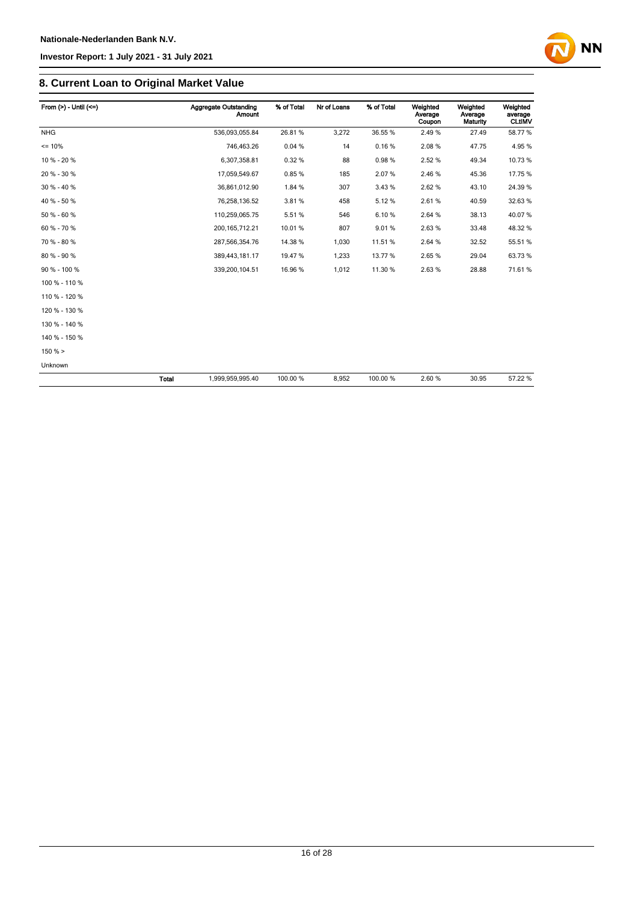

| From $(>) -$ Until $(<=)$ |       | <b>Aggregate Outstanding</b><br><b>Amount</b> | % of Total | Nr of Loans | % of Total | Weighted<br>Average<br>Coupon | Weighted<br>Average<br>Maturity | Weighted<br>average<br><b>CLtIMV</b> |
|---------------------------|-------|-----------------------------------------------|------------|-------------|------------|-------------------------------|---------------------------------|--------------------------------------|
| <b>NHG</b>                |       | 536,093,055.84                                | 26.81%     | 3,272       | 36.55 %    | 2.49%                         | 27.49                           | 58.77%                               |
| $= 10%$                   |       | 746,463.26                                    | 0.04%      | 14          | 0.16%      | 2.08%                         | 47.75                           | 4.95%                                |
| 10 % - 20 %               |       | 6,307,358.81                                  | 0.32%      | 88          | 0.98%      | 2.52%                         | 49.34                           | 10.73%                               |
| 20 % - 30 %               |       | 17,059,549.67                                 | 0.85%      | 185         | 2.07%      | 2.46 %                        | 45.36                           | 17.75 %                              |
| 30 % - 40 %               |       | 36,861,012.90                                 | 1.84 %     | 307         | 3.43%      | 2.62%                         | 43.10                           | 24.39 %                              |
| 40 % - 50 %               |       | 76,258,136.52                                 | 3.81%      | 458         | 5.12%      | 2.61%                         | 40.59                           | 32.63%                               |
| 50 % - 60 %               |       | 110,259,065.75                                | 5.51%      | 546         | 6.10%      | 2.64 %                        | 38.13                           | 40.07%                               |
| 60 % - 70 %               |       | 200, 165, 712. 21                             | 10.01%     | 807         | 9.01%      | 2.63%                         | 33.48                           | 48.32 %                              |
| 70 % - 80 %               |       | 287,566,354.76                                | 14.38 %    | 1,030       | 11.51%     | 2.64 %                        | 32.52                           | 55.51 %                              |
| 80 % - 90 %               |       | 389,443,181.17                                | 19.47%     | 1,233       | 13.77%     | 2.65%                         | 29.04                           | 63.73%                               |
| 90 % - 100 %              |       | 339,200,104.51                                | 16.96%     | 1,012       | 11.30 %    | 2.63%                         | 28.88                           | 71.61%                               |
| 100 % - 110 %             |       |                                               |            |             |            |                               |                                 |                                      |
| 110 % - 120 %             |       |                                               |            |             |            |                               |                                 |                                      |
| 120 % - 130 %             |       |                                               |            |             |            |                               |                                 |                                      |
| 130 % - 140 %             |       |                                               |            |             |            |                               |                                 |                                      |
| 140 % - 150 %             |       |                                               |            |             |            |                               |                                 |                                      |
| $150 \%$ >                |       |                                               |            |             |            |                               |                                 |                                      |
| Unknown                   |       |                                               |            |             |            |                               |                                 |                                      |
|                           | Total | 1,999,959,995.40                              | 100.00 %   | 8,952       | 100.00%    | 2.60%                         | 30.95                           | 57.22 %                              |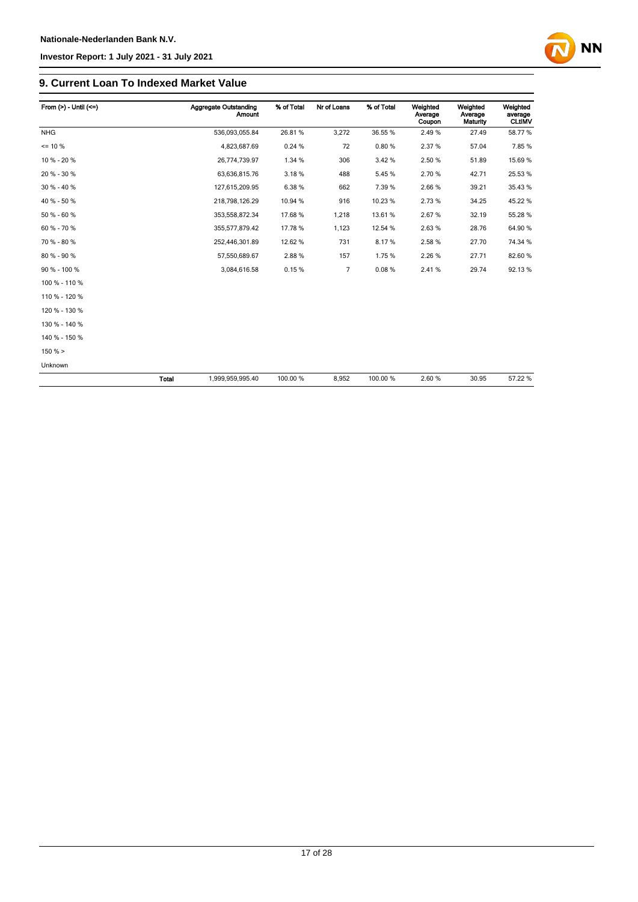

| From $(>)$ - Until $(<=)$ |       | Aggregate Outstanding<br>Amount | % of Total | Nr of Loans | % of Total | Weighted<br>Average<br>Coupon | Weighted<br>Average<br><b>Maturity</b> | Weighted<br>average<br><b>CLtIMV</b> |
|---------------------------|-------|---------------------------------|------------|-------------|------------|-------------------------------|----------------------------------------|--------------------------------------|
| <b>NHG</b>                |       | 536,093,055.84                  | 26.81%     | 3,272       | 36.55 %    | 2.49%                         | 27.49                                  | 58.77 %                              |
| $= 10 \%$                 |       | 4,823,687.69                    | 0.24%      | 72          | 0.80%      | 2.37%                         | 57.04                                  | 7.85%                                |
| 10 % - 20 %               |       | 26,774,739.97                   | 1.34 %     | 306         | 3.42%      | 2.50 %                        | 51.89                                  | 15.69%                               |
| 20 % - 30 %               |       | 63,636,815.76                   | 3.18%      | 488         | 5.45%      | 2.70%                         | 42.71                                  | 25.53 %                              |
| $30 \% - 40 \%$           |       | 127,615,209.95                  | 6.38%      | 662         | 7.39%      | 2.66%                         | 39.21                                  | 35.43 %                              |
| 40 % - 50 %               |       | 218,798,126.29                  | 10.94 %    | 916         | 10.23%     | 2.73%                         | 34.25                                  | 45.22 %                              |
| 50 % - 60 %               |       | 353,558,872.34                  | 17.68 %    | 1,218       | 13.61%     | 2.67%                         | 32.19                                  | 55.28 %                              |
| 60 % - 70 %               |       | 355,577,879.42                  | 17.78 %    | 1,123       | 12.54 %    | 2.63%                         | 28.76                                  | 64.90%                               |
| 70 % - 80 %               |       | 252,446,301.89                  | 12.62 %    | 731         | 8.17%      | 2.58 %                        | 27.70                                  | 74.34 %                              |
| 80 % - 90 %               |       | 57,550,689.67                   | 2.88%      | 157         | 1.75%      | 2.26 %                        | 27.71                                  | 82.60 %                              |
| 90 % - 100 %              |       | 3,084,616.58                    | 0.15%      | 7           | 0.08%      | 2.41%                         | 29.74                                  | 92.13%                               |
| 100 % - 110 %             |       |                                 |            |             |            |                               |                                        |                                      |
| 110 % - 120 %             |       |                                 |            |             |            |                               |                                        |                                      |
| 120 % - 130 %             |       |                                 |            |             |            |                               |                                        |                                      |
| 130 % - 140 %             |       |                                 |            |             |            |                               |                                        |                                      |
| 140 % - 150 %             |       |                                 |            |             |            |                               |                                        |                                      |
| $150 \%$ >                |       |                                 |            |             |            |                               |                                        |                                      |
| Unknown                   |       |                                 |            |             |            |                               |                                        |                                      |
|                           | Total | 1,999,959,995.40                | 100.00 %   | 8,952       | 100.00%    | 2.60%                         | 30.95                                  | 57.22 %                              |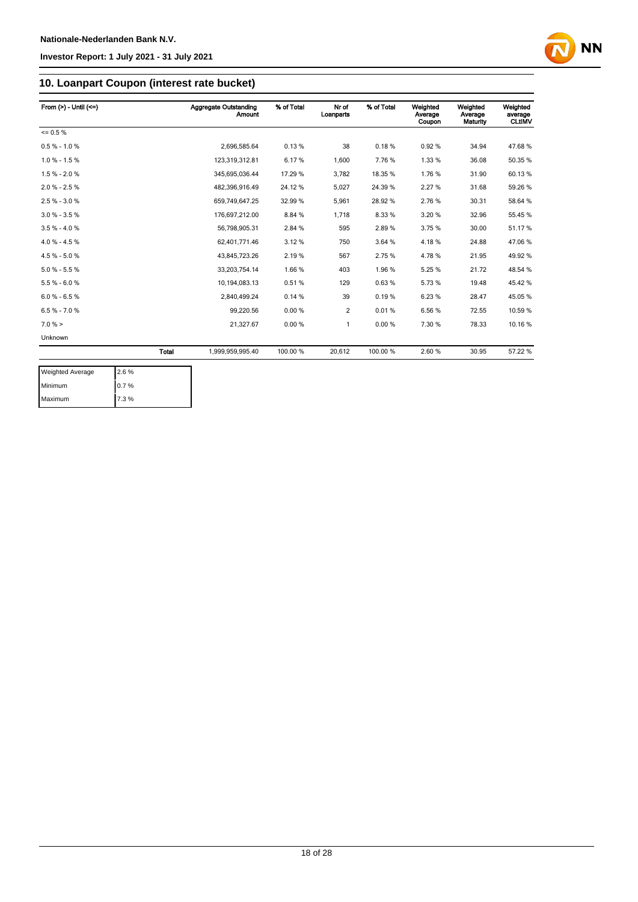

### **10. Loanpart Coupon (interest rate bucket)**

| From $(>) -$ Until $(<=)$ |       | Aggregate Outstanding<br><b>Amount</b> | % of Total | Nr of<br>Loanparts | % of Total | Weighted<br>Average<br>Coupon | Weighted<br>Average<br>Maturity | Weighted<br>average<br><b>CLtIMV</b> |
|---------------------------|-------|----------------------------------------|------------|--------------------|------------|-------------------------------|---------------------------------|--------------------------------------|
| $= 0.5 \%$                |       |                                        |            |                    |            |                               |                                 |                                      |
| $0.5 % - 1.0 %$           |       | 2.696.585.64                           | 0.13%      | 38                 | 0.18%      | 0.92%                         | 34.94                           | 47.68%                               |
| $1.0 \% - 1.5 \%$         |       | 123,319,312.81                         | 6.17%      | 1,600              | 7.76%      | 1.33 %                        | 36.08                           | 50.35 %                              |
| $1.5% - 2.0%$             |       | 345,695,036.44                         | 17.29 %    | 3,782              | 18.35%     | 1.76%                         | 31.90                           | 60.13%                               |
| $2.0 \% - 2.5 \%$         |       | 482,396,916.49                         | 24.12%     | 5,027              | 24.39 %    | 2.27%                         | 31.68                           | 59.26 %                              |
| $2.5 \% - 3.0 \%$         |       | 659,749,647.25                         | 32.99 %    | 5,961              | 28.92%     | 2.76%                         | 30.31                           | 58.64 %                              |
| $3.0 \% - 3.5 \%$         |       | 176,697,212.00                         | 8.84 %     | 1,718              | 8.33%      | 3.20%                         | 32.96                           | 55.45 %                              |
| $3.5 \% - 4.0 \%$         |       | 56,798,905.31                          | 2.84 %     | 595                | 2.89%      | 3.75%                         | 30.00                           | 51.17%                               |
| $4.0 \% - 4.5 \%$         |       | 62,401,771.46                          | 3.12%      | 750                | 3.64 %     | 4.18%                         | 24.88                           | 47.06%                               |
| $4.5 \% - 5.0 \%$         |       | 43.845.723.26                          | 2.19%      | 567                | 2.75%      | 4.78%                         | 21.95                           | 49.92 %                              |
| $5.0 \% - 5.5 \%$         |       | 33,203,754.14                          | 1.66%      | 403                | 1.96%      | 5.25%                         | 21.72                           | 48.54 %                              |
| $5.5% - 6.0%$             |       | 10,194,083.13                          | 0.51%      | 129                | 0.63%      | 5.73%                         | 19.48                           | 45.42%                               |
| $6.0 % - 6.5 %$           |       | 2,840,499.24                           | 0.14%      | 39                 | 0.19%      | 6.23%                         | 28.47                           | 45.05%                               |
| $6.5 \% - 7.0 \%$         |       | 99,220.56                              | 0.00%      | $\overline{c}$     | 0.01%      | 6.56%                         | 72.55                           | 10.59 %                              |
| $7.0 \%$ >                |       | 21,327.67                              | 0.00%      | 1                  | 0.00%      | 7.30 %                        | 78.33                           | 10.16 %                              |
| Unknown                   |       |                                        |            |                    |            |                               |                                 |                                      |
|                           | Total | 1,999,959,995.40                       | 100.00 %   | 20,612             | 100.00 %   | 2.60%                         | 30.95                           | 57.22 %                              |

| <b>Weighted Average</b> | 2.6% |
|-------------------------|------|
| Minimum                 | 0.7% |
| Maximum                 | 7.3% |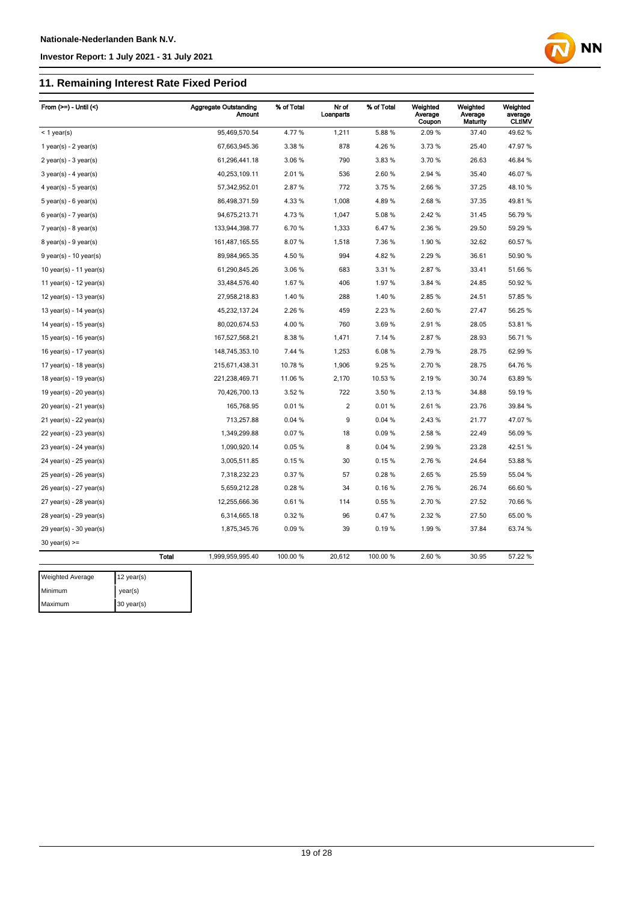### **11. Remaining Interest Rate Fixed Period**

| From $(>=) -$ Until $($     |              | <b>Aggregate Outstanding</b><br>Amount | % of Total | Nr of<br>Loanparts | % of Total | Weighted<br>Average<br>Coupon | Weighted<br>Average<br>Maturity | Weighted<br>average<br><b>CLtIMV</b> |
|-----------------------------|--------------|----------------------------------------|------------|--------------------|------------|-------------------------------|---------------------------------|--------------------------------------|
| $<$ 1 year(s)               |              | 95,469,570.54                          | 4.77%      | 1,211              | 5.88%      | 2.09%                         | 37.40                           | 49.62%                               |
| 1 year(s) - $2$ year(s)     |              | 67,663,945.36                          | 3.38%      | 878                | 4.26%      | 3.73%                         | 25.40                           | 47.97%                               |
| $2$ year(s) - $3$ year(s)   |              | 61,296,441.18                          | 3.06%      | 790                | 3.83%      | 3.70%                         | 26.63                           | 46.84 %                              |
| $3$ year(s) - 4 year(s)     |              | 40,253,109.11                          | 2.01%      | 536                | 2.60%      | 2.94 %                        | 35.40                           | 46.07%                               |
| 4 year(s) - 5 year(s)       |              | 57,342,952.01                          | 2.87%      | 772                | 3.75 %     | 2.66%                         | 37.25                           | 48.10%                               |
| $5$ year(s) - 6 year(s)     |              | 86,498,371.59                          | 4.33%      | 1,008              | 4.89%      | 2.68%                         | 37.35                           | 49.81%                               |
| $6$ year(s) - 7 year(s)     |              | 94,675,213.71                          | 4.73%      | 1,047              | 5.08%      | 2.42%                         | 31.45                           | 56.79 %                              |
| $7$ year(s) - 8 year(s)     |              | 133,944,398.77                         | 6.70%      | 1,333              | 6.47%      | 2.36%                         | 29.50                           | 59.29 %                              |
| $8$ year(s) - $9$ year(s)   |              | 161,487,165.55                         | 8.07%      | 1,518              | 7.36 %     | 1.90%                         | 32.62                           | 60.57 %                              |
| $9$ year(s) - 10 year(s)    |              | 89,984,965.35                          | 4.50 %     | 994                | 4.82%      | 2.29 %                        | 36.61                           | 50.90 %                              |
| 10 year(s) - 11 year(s)     |              | 61,290,845.26                          | 3.06%      | 683                | 3.31 %     | 2.87%                         | 33.41                           | 51.66 %                              |
| 11 year(s) - $12$ year(s)   |              | 33,484,576.40                          | 1.67%      | 406                | 1.97%      | 3.84 %                        | 24.85                           | 50.92 %                              |
| 12 year(s) - 13 year(s)     |              | 27,958,218.83                          | 1.40%      | 288                | 1.40%      | 2.85%                         | 24.51                           | 57.85 %                              |
| 13 year(s) - 14 year(s)     |              | 45,232,137.24                          | 2.26%      | 459                | 2.23%      | 2.60%                         | 27.47                           | 56.25 %                              |
| 14 year(s) - $15$ year(s)   |              | 80,020,674.53                          | 4.00%      | 760                | 3.69%      | 2.91%                         | 28.05                           | 53.81%                               |
| 15 year(s) - 16 year(s)     |              | 167,527,568.21                         | 8.38%      | 1,471              | 7.14 %     | 2.87%                         | 28.93                           | 56.71%                               |
| 16 year(s) - 17 year(s)     |              | 148,745,353.10                         | 7.44 %     | 1,253              | 6.08%      | 2.79%                         | 28.75                           | 62.99%                               |
| 17 year(s) - 18 year(s)     |              | 215,671,438.31                         | 10.78 %    | 1,906              | 9.25 %     | 2.70%                         | 28.75                           | 64.76%                               |
| 18 year(s) - 19 year(s)     |              | 221,238,469.71                         | 11.06 %    | 2,170              | 10.53%     | 2.19%                         | 30.74                           | 63.89%                               |
| 19 year(s) - $20$ year(s)   |              | 70,426,700.13                          | 3.52 %     | 722                | 3.50 %     | 2.13%                         | 34.88                           | 59.19 %                              |
| 20 year(s) - 21 year(s)     |              | 165,768.95                             | 0.01%      | 2                  | 0.01%      | 2.61%                         | 23.76                           | 39.84 %                              |
| $21$ year(s) - 22 year(s)   |              | 713,257.88                             | 0.04%      | 9                  | 0.04%      | 2.43%                         | 21.77                           | 47.07%                               |
| 22 year(s) - 23 year(s)     |              | 1,349,299.88                           | 0.07%      | 18                 | 0.09%      | 2.58%                         | 22.49                           | 56.09 %                              |
| 23 year(s) - 24 year(s)     |              | 1,090,920.14                           | 0.05%      | 8                  | 0.04 %     | 2.99%                         | 23.28                           | 42.51%                               |
| $24$ year(s) - $25$ year(s) |              | 3,005,511.85                           | 0.15%      | 30                 | 0.15%      | 2.76%                         | 24.64                           | 53.88 %                              |
| 25 year(s) - 26 year(s)     |              | 7,318,232.23                           | 0.37%      | 57                 | 0.28%      | 2.65%                         | 25.59                           | 55.04 %                              |
| 26 year(s) - 27 year(s)     |              | 5,659,212.28                           | 0.28%      | 34                 | 0.16%      | 2.76%                         | 26.74                           | 66.60%                               |
| $27$ year(s) - $28$ year(s) |              | 12,255,666.36                          | 0.61%      | 114                | 0.55%      | 2.70%                         | 27.52                           | 70.66 %                              |
| 28 year(s) - 29 year(s)     |              | 6,314,665.18                           | 0.32%      | 96                 | 0.47%      | 2.32 %                        | 27.50                           | 65.00 %                              |
| $29$ year(s) - 30 year(s)   |              | 1,875,345.76                           | 0.09%      | 39                 | 0.19%      | 1.99%                         | 37.84                           | 63.74 %                              |
| $30$ year(s) $>=$           |              |                                        |            |                    |            |                               |                                 |                                      |
|                             | <b>Total</b> | 1,999,959,995.40                       | 100.00 %   | 20,612             | 100.00 %   | 2.60%                         | 30.95                           | 57.22 %                              |
| Weighted Average            | 12 year(s)   |                                        |            |                    |            |                               |                                 |                                      |

**NN** 

Minimum year(s) Maximum 30 year(s)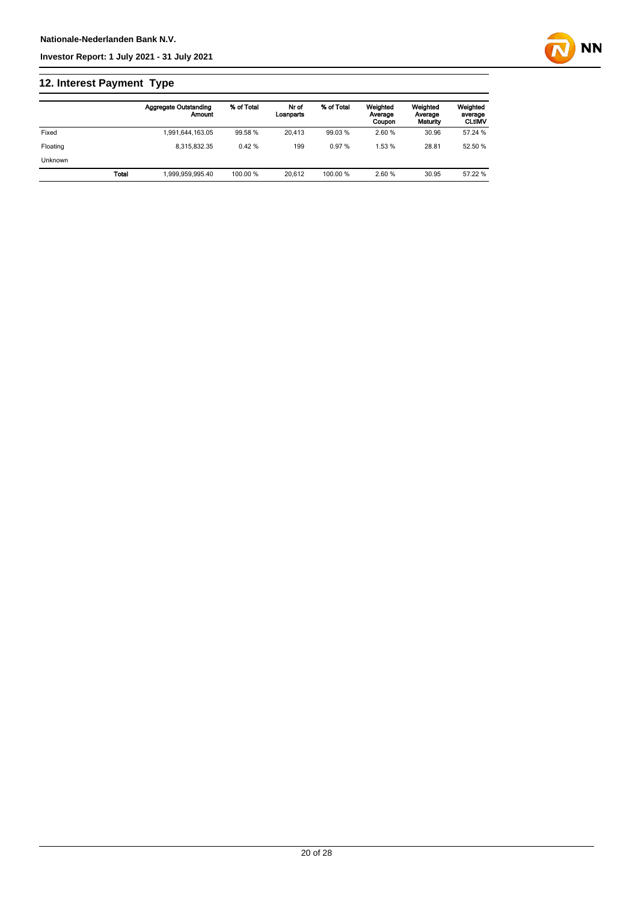

# **12. Interest Payment Type**

|                |       | <b>Aggregate Outstanding</b><br>Amount | % of Total | Nr of<br>Loanparts | % of Total | Weighted<br>Average<br>Coupon | Weighted<br>Average<br>Maturity | Weighted<br>average<br><b>CLtIMV</b> |
|----------------|-------|----------------------------------------|------------|--------------------|------------|-------------------------------|---------------------------------|--------------------------------------|
| Fixed          |       | 1,991,644,163.05                       | 99.58 %    | 20.413             | 99.03 %    | 2.60 %                        | 30.96                           | 57.24 %                              |
| Floating       |       | 8.315.832.35                           | 0.42%      | 199                | 0.97%      | 1.53%                         | 28.81                           | 52.50 %                              |
| <b>Unknown</b> |       |                                        |            |                    |            |                               |                                 |                                      |
|                | Total | 1.999.959.995.40                       | 100.00 %   | 20.612             | 100.00 %   | 2.60 %                        | 30.95                           | 57.22 %                              |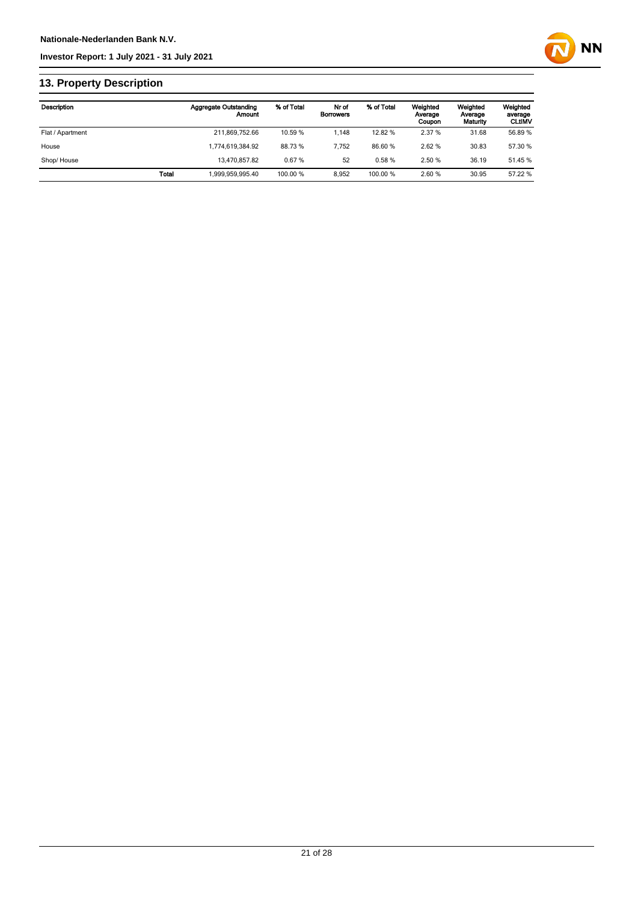

# **13. Property Description**

| Description      |              | <b>Aggregate Outstanding</b><br>Amount | % of Total | Nr of<br><b>Borrowers</b> | % of Total | Weighted<br>Average<br>Coupon | Weighted<br>Average<br>Maturity | Weighted<br>average<br><b>CLtIMV</b> |
|------------------|--------------|----------------------------------------|------------|---------------------------|------------|-------------------------------|---------------------------------|--------------------------------------|
| Flat / Apartment |              | 211,869,752.66                         | 10.59 %    | 1.148                     | 12.82 %    | 2.37 %                        | 31.68                           | 56.89 %                              |
| House            |              | 1.774.619.384.92                       | 88.73%     | 7.752                     | 86.60%     | 2.62%                         | 30.83                           | 57.30 %                              |
| Shop/House       |              | 13.470.857.82                          | 0.67%      | 52                        | 0.58%      | 2.50 %                        | 36.19                           | 51.45 %                              |
|                  | <b>Total</b> | 1.999.959.995.40                       | 100.00 %   | 8.952                     | 100.00 %   | 2.60%                         | 30.95                           | 57.22 %                              |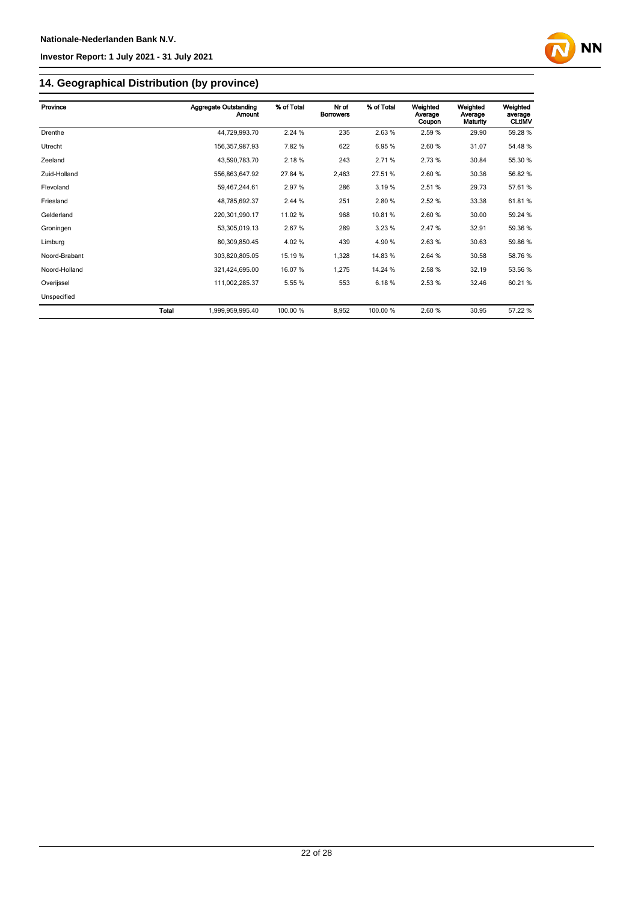

# **14. Geographical Distribution (by province)**

| Province      | <b>Aggregate Outstanding</b><br><b>Amount</b> | % of Total | Nr of<br><b>Borrowers</b> | % of Total | Weighted<br>Average<br>Coupon | Weighted<br>Average<br>Maturity | Weighted<br>average<br><b>CLtIMV</b> |
|---------------|-----------------------------------------------|------------|---------------------------|------------|-------------------------------|---------------------------------|--------------------------------------|
| Drenthe       | 44,729,993.70                                 | 2.24 %     | 235                       | 2.63%      | 2.59 %                        | 29.90                           | 59.28 %                              |
| Utrecht       | 156,357,987.93                                | 7.82%      | 622                       | 6.95%      | 2.60%                         | 31.07                           | 54.48%                               |
| Zeeland       | 43,590,783.70                                 | 2.18%      | 243                       | 2.71%      | 2.73%                         | 30.84                           | 55.30 %                              |
| Zuid-Holland  | 556,863,647.92                                | 27.84 %    | 2,463                     | 27.51%     | 2.60%                         | 30.36                           | 56.82 %                              |
| Flevoland     | 59,467,244.61                                 | 2.97 %     | 286                       | 3.19%      | 2.51%                         | 29.73                           | 57.61%                               |
| Friesland     | 48,785,692.37                                 | 2.44 %     | 251                       | 2.80%      | 2.52%                         | 33.38                           | 61.81%                               |
| Gelderland    | 220,301,990.17                                | 11.02 %    | 968                       | 10.81%     | 2.60%                         | 30.00                           | 59.24 %                              |
| Groningen     | 53,305,019.13                                 | 2.67%      | 289                       | 3.23%      | 2.47%                         | 32.91                           | 59.36 %                              |
| Limburg       | 80,309,850.45                                 | 4.02%      | 439                       | 4.90%      | 2.63%                         | 30.63                           | 59.86 %                              |
| Noord-Brabant | 303.820.805.05                                | 15.19 %    | 1,328                     | 14.83%     | 2.64 %                        | 30.58                           | 58.76 %                              |
| Noord-Holland | 321,424,695.00                                | 16.07 %    | 1,275                     | 14.24 %    | 2.58 %                        | 32.19                           | 53.56 %                              |
| Overijssel    | 111,002,285.37                                | 5.55 %     | 553                       | 6.18%      | 2.53%                         | 32.46                           | 60.21%                               |
| Unspecified   |                                               |            |                           |            |                               |                                 |                                      |
| <b>Total</b>  | 1,999,959,995.40                              | 100.00 %   | 8,952                     | 100.00 %   | 2.60%                         | 30.95                           | 57.22 %                              |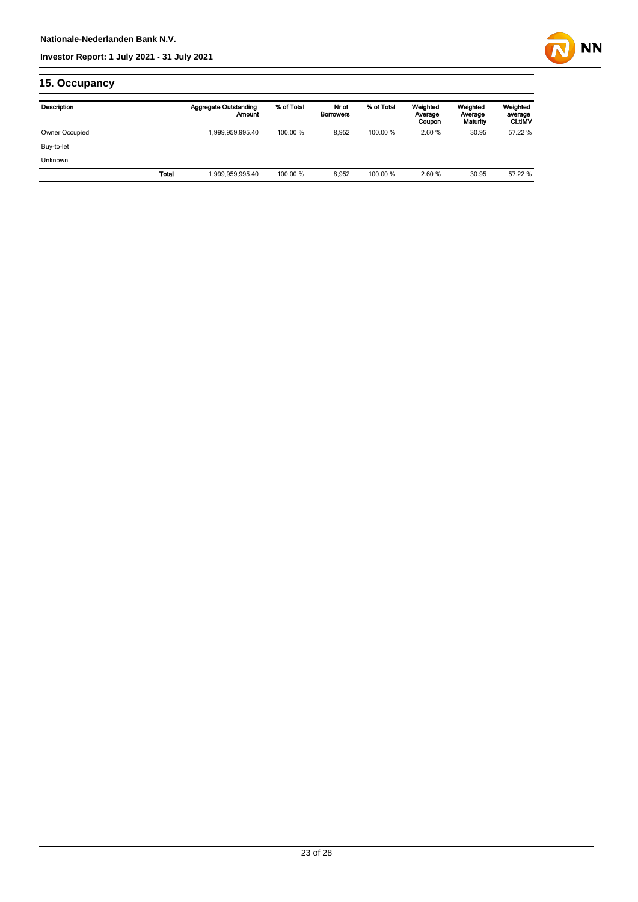

# **15. Occupancy**

| Description    |              | Aggregate Outstanding<br>Amount | % of Total | Nr of<br><b>Borrowers</b> | % of Total | Weighted<br>Average<br>Coupon | Weighted<br>Average<br>Maturity | Weighted<br>average<br><b>CLUMV</b> |
|----------------|--------------|---------------------------------|------------|---------------------------|------------|-------------------------------|---------------------------------|-------------------------------------|
| Owner Occupied |              | 1,999,959,995.40                | 100.00 %   | 8,952                     | 100.00 %   | 2.60%                         | 30.95                           | 57.22 %                             |
| Buy-to-let     |              |                                 |            |                           |            |                               |                                 |                                     |
| <b>Unknown</b> |              |                                 |            |                           |            |                               |                                 |                                     |
|                | <b>Total</b> | 999,959,995.40                  | 100.00 %   | 8,952                     | 100.00 %   | 2.60%                         | 30.95                           | 57.22 %                             |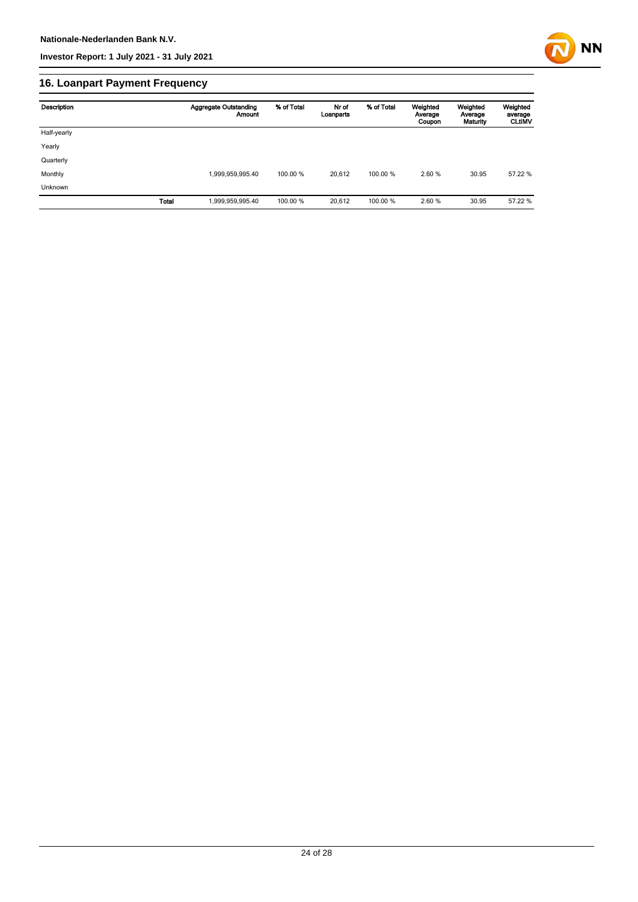

# **16. Loanpart Payment Frequency**

| Description | <b>Aggregate Outstanding</b><br><b>Amount</b> | % of Total | Nr of<br>Loanparts | % of Total | Weighted<br>Average<br>Coupon | Weighted<br>Average<br>Maturity | Weighted<br>average<br><b>CLtIMV</b> |
|-------------|-----------------------------------------------|------------|--------------------|------------|-------------------------------|---------------------------------|--------------------------------------|
| Half-yearly |                                               |            |                    |            |                               |                                 |                                      |
| Yearly      |                                               |            |                    |            |                               |                                 |                                      |
| Quarterly   |                                               |            |                    |            |                               |                                 |                                      |
| Monthly     | 1,999,959,995.40                              | 100.00 %   | 20.612             | 100.00 %   | 2.60 %                        | 30.95                           | 57.22 %                              |
| Unknown     |                                               |            |                    |            |                               |                                 |                                      |
|             | Total<br>1,999,959,995.40                     | 100.00 %   | 20,612             | 100.00 %   | 2.60 %                        | 30.95                           | 57.22 %                              |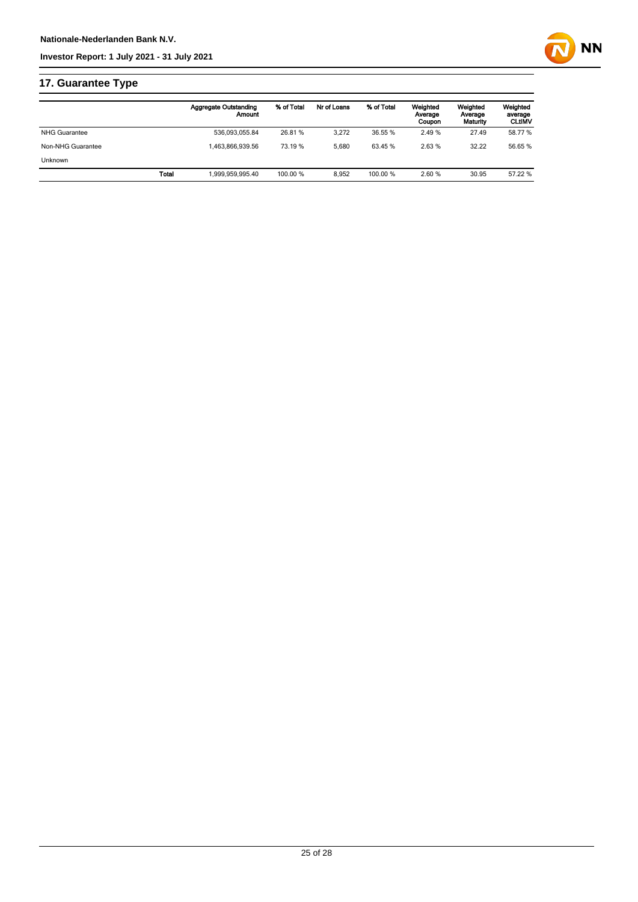

# **17. Guarantee Type**

|                      | <b>Aggregate Outstanding</b><br>Amount | % of Total | Nr of Loans | % of Total | Weighted<br>Average<br>Coupon | Weighted<br>Average<br>Maturity | Weighted<br>average<br><b>CLtIMV</b> |
|----------------------|----------------------------------------|------------|-------------|------------|-------------------------------|---------------------------------|--------------------------------------|
| <b>NHG Guarantee</b> | 536.093.055.84                         | 26.81 %    | 3.272       | 36.55 %    | 2.49%                         | 27.49                           | 58.77 %                              |
| Non-NHG Guarantee    | 1.463.866.939.56                       | 73.19 %    | 5.680       | 63.45 %    | 2.63%                         | 32.22                           | 56.65 %                              |
| <b>Unknown</b>       |                                        |            |             |            |                               |                                 |                                      |
|                      | 1.999.959.995.40<br>Total              | 100.00 %   | 8.952       | 100.00 %   | 2.60%                         | 30.95                           | 57.22 %                              |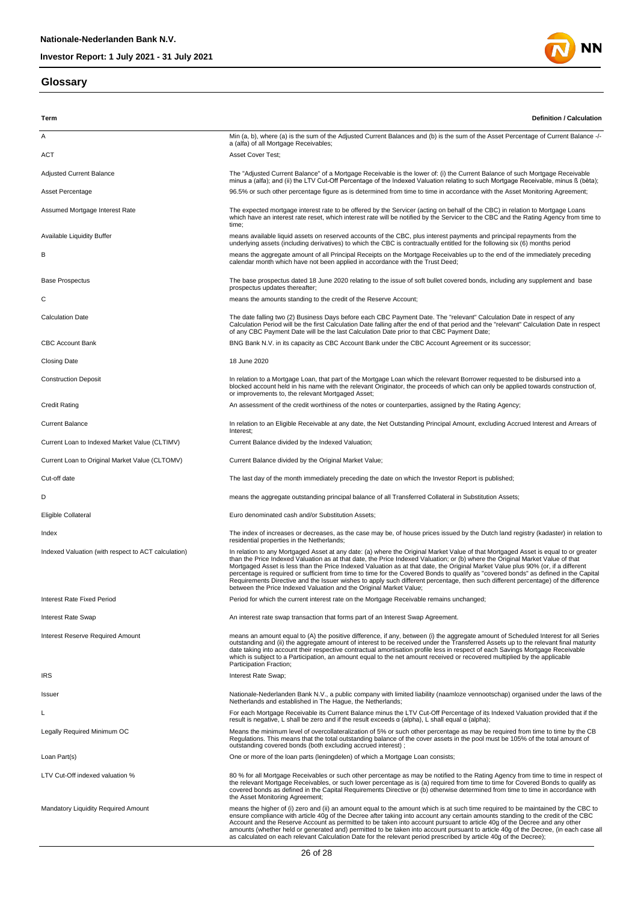#### **Glossary**



| Term                                                | <b>Definition / Calculation</b>                                                                                                                                                                                                                                                                                                                                                                                                                                                                                                                                                                                                                                                                                                                             |
|-----------------------------------------------------|-------------------------------------------------------------------------------------------------------------------------------------------------------------------------------------------------------------------------------------------------------------------------------------------------------------------------------------------------------------------------------------------------------------------------------------------------------------------------------------------------------------------------------------------------------------------------------------------------------------------------------------------------------------------------------------------------------------------------------------------------------------|
| Α                                                   | Min (a, b), where (a) is the sum of the Adjusted Current Balances and (b) is the sum of the Asset Percentage of Current Balance -/-<br>a (alfa) of all Mortgage Receivables;                                                                                                                                                                                                                                                                                                                                                                                                                                                                                                                                                                                |
| ACT                                                 | <b>Asset Cover Test;</b>                                                                                                                                                                                                                                                                                                                                                                                                                                                                                                                                                                                                                                                                                                                                    |
| <b>Adjusted Current Balance</b>                     | The "Adjusted Current Balance" of a Mortgage Receivable is the lower of: (i) the Current Balance of such Mortgage Receivable<br>minus a (alfa); and (ii) the LTV Cut-Off Percentage of the Indexed Valuation relating to such Mortgage Receivable, minus ß (bèta);                                                                                                                                                                                                                                                                                                                                                                                                                                                                                          |
| Asset Percentage                                    | 96.5% or such other percentage figure as is determined from time to time in accordance with the Asset Monitoring Agreement;                                                                                                                                                                                                                                                                                                                                                                                                                                                                                                                                                                                                                                 |
| Assumed Mortgage Interest Rate                      | The expected mortgage interest rate to be offered by the Servicer (acting on behalf of the CBC) in relation to Mortgage Loans<br>which have an interest rate reset, which interest rate will be notified by the Servicer to the CBC and the Rating Agency from time to<br>time;                                                                                                                                                                                                                                                                                                                                                                                                                                                                             |
| Available Liquidity Buffer                          | means available liquid assets on reserved accounts of the CBC, plus interest payments and principal repayments from the<br>underlying assets (including derivatives) to which the CBC is contractually entitled for the following six (6) months period                                                                                                                                                                                                                                                                                                                                                                                                                                                                                                     |
| В                                                   | means the aggregate amount of all Principal Receipts on the Mortgage Receivables up to the end of the immediately preceding<br>calendar month which have not been applied in accordance with the Trust Deed;                                                                                                                                                                                                                                                                                                                                                                                                                                                                                                                                                |
| <b>Base Prospectus</b>                              | The base prospectus dated 18 June 2020 relating to the issue of soft bullet covered bonds, including any supplement and base<br>prospectus updates thereafter;                                                                                                                                                                                                                                                                                                                                                                                                                                                                                                                                                                                              |
| С                                                   | means the amounts standing to the credit of the Reserve Account;                                                                                                                                                                                                                                                                                                                                                                                                                                                                                                                                                                                                                                                                                            |
| <b>Calculation Date</b>                             | The date falling two (2) Business Days before each CBC Payment Date. The "relevant" Calculation Date in respect of any<br>Calculation Period will be the first Calculation Date falling after the end of that period and the "relevant" Calculation Date in respect<br>of any CBC Payment Date will be the last Calculation Date prior to that CBC Payment Date;                                                                                                                                                                                                                                                                                                                                                                                            |
| <b>CBC Account Bank</b>                             | BNG Bank N.V. in its capacity as CBC Account Bank under the CBC Account Agreement or its successor;                                                                                                                                                                                                                                                                                                                                                                                                                                                                                                                                                                                                                                                         |
| <b>Closing Date</b>                                 | 18 June 2020                                                                                                                                                                                                                                                                                                                                                                                                                                                                                                                                                                                                                                                                                                                                                |
| <b>Construction Deposit</b>                         | In relation to a Mortgage Loan, that part of the Mortgage Loan which the relevant Borrower requested to be disbursed into a<br>blocked account held in his name with the relevant Originator, the proceeds of which can only be applied towards construction of,<br>or improvements to, the relevant Mortgaged Asset;                                                                                                                                                                                                                                                                                                                                                                                                                                       |
| <b>Credit Rating</b>                                | An assessment of the credit worthiness of the notes or counterparties, assigned by the Rating Agency;                                                                                                                                                                                                                                                                                                                                                                                                                                                                                                                                                                                                                                                       |
| <b>Current Balance</b>                              | In relation to an Eligible Receivable at any date, the Net Outstanding Principal Amount, excluding Accrued Interest and Arrears of<br>Interest;                                                                                                                                                                                                                                                                                                                                                                                                                                                                                                                                                                                                             |
| Current Loan to Indexed Market Value (CLTIMV)       | Current Balance divided by the Indexed Valuation;                                                                                                                                                                                                                                                                                                                                                                                                                                                                                                                                                                                                                                                                                                           |
| Current Loan to Original Market Value (CLTOMV)      | Current Balance divided by the Original Market Value;                                                                                                                                                                                                                                                                                                                                                                                                                                                                                                                                                                                                                                                                                                       |
| Cut-off date                                        | The last day of the month immediately preceding the date on which the Investor Report is published;                                                                                                                                                                                                                                                                                                                                                                                                                                                                                                                                                                                                                                                         |
| D                                                   | means the aggregate outstanding principal balance of all Transferred Collateral in Substitution Assets;                                                                                                                                                                                                                                                                                                                                                                                                                                                                                                                                                                                                                                                     |
| Eligible Collateral                                 | Euro denominated cash and/or Substitution Assets;                                                                                                                                                                                                                                                                                                                                                                                                                                                                                                                                                                                                                                                                                                           |
| Index                                               | The index of increases or decreases, as the case may be, of house prices issued by the Dutch land registry (kadaster) in relation to<br>residential properties in the Netherlands;                                                                                                                                                                                                                                                                                                                                                                                                                                                                                                                                                                          |
| Indexed Valuation (with respect to ACT calculation) | In relation to any Mortgaged Asset at any date: (a) where the Original Market Value of that Mortgaged Asset is equal to or greater<br>than the Price Indexed Valuation as at that date, the Price Indexed Valuation; or (b) where the Original Market Value of that<br>Mortgaged Asset is less than the Price Indexed Valuation as at that date, the Original Market Value plus 90% (or, if a different<br>percentage is required or sufficient from time to time for the Covered Bonds to qualify as "covered bonds" as defined in the Capital<br>Requirements Directive and the Issuer wishes to apply such different percentage, then such different percentage) of the difference<br>between the Price Indexed Valuation and the Original Market Value; |
| <b>Interest Rate Fixed Period</b>                   | Period for which the current interest rate on the Mortgage Receivable remains unchanged;                                                                                                                                                                                                                                                                                                                                                                                                                                                                                                                                                                                                                                                                    |
| Interest Rate Swap                                  | An interest rate swap transaction that forms part of an Interest Swap Agreement.                                                                                                                                                                                                                                                                                                                                                                                                                                                                                                                                                                                                                                                                            |
| Interest Reserve Required Amount                    | means an amount equal to (A) the positive difference, if any, between (i) the aggregate amount of Scheduled Interest for all Series<br>outstanding and (ii) the aggregate amount of interest to be received under the Transferred Assets up to the relevant final maturity<br>date taking into account their respective contractual amortisation profile less in respect of each Savings Mortgage Receivable<br>which is subject to a Participation, an amount equal to the net amount received or recovered multiplied by the applicable<br>Participation Fraction;                                                                                                                                                                                        |
| <b>IRS</b>                                          | Interest Rate Swap;                                                                                                                                                                                                                                                                                                                                                                                                                                                                                                                                                                                                                                                                                                                                         |
| Issuer                                              | Nationale-Nederlanden Bank N.V., a public company with limited liability (naamloze vennootschap) organised under the laws of the<br>Netherlands and established in The Haque, the Netherlands;                                                                                                                                                                                                                                                                                                                                                                                                                                                                                                                                                              |
| L                                                   | For each Mortgage Receivable its Current Balance minus the LTV Cut-Off Percentage of its Indexed Valuation provided that if the<br>result is negative, L shall be zero and if the result exceeds $\alpha$ (alpha), L shall equal $\alpha$ (alpha);                                                                                                                                                                                                                                                                                                                                                                                                                                                                                                          |
| Legally Required Minimum OC                         | Means the minimum level of overcollateralization of 5% or such other percentage as may be required from time to time by the CB<br>Regulations. This means that the total outstanding balance of the cover assets in the pool must be 105% of the total amount of<br>outstanding covered bonds (both excluding accrued interest);                                                                                                                                                                                                                                                                                                                                                                                                                            |
| Loan Part(s)                                        | One or more of the loan parts (leningdelen) of which a Mortgage Loan consists;                                                                                                                                                                                                                                                                                                                                                                                                                                                                                                                                                                                                                                                                              |
| LTV Cut-Off indexed valuation %                     | 80 % for all Mortgage Receivables or such other percentage as may be notified to the Rating Agency from time to time in respect of<br>the relevant Mortgage Receivables, or such lower percentage as is (a) required from time to time for Covered Bonds to qualify as<br>covered bonds as defined in the Capital Requirements Directive or (b) otherwise determined from time to time in accordance with<br>the Asset Monitoring Agreement;                                                                                                                                                                                                                                                                                                                |
| Mandatory Liquidity Required Amount                 | means the higher of (i) zero and (ii) an amount equal to the amount which is at such time required to be maintained by the CBC to<br>ensure compliance with article 40g of the Decree after taking into account any certain amounts standing to the credit of the CBC<br>Account and the Reserve Account as permitted to be taken into account pursuant to article 40g of the Decree and any other<br>amounts (whether held or generated and) permitted to be taken into account pursuant to article 40g of the Decree, (in each case all<br>as calculated on each relevant Calculation Date for the relevant period prescribed by article 40g of the Decree);                                                                                              |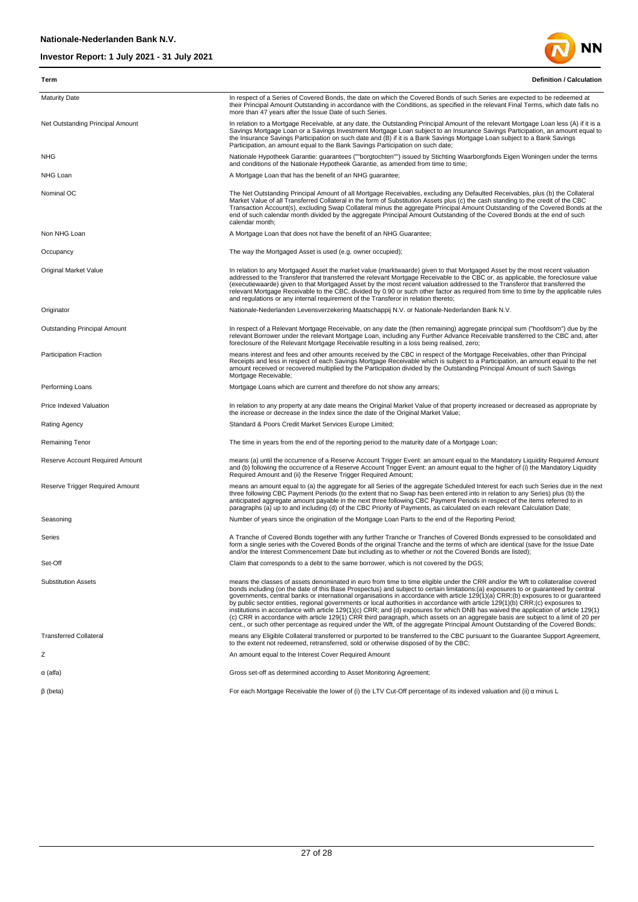

| Term                                   | <b>Definition / Calculation</b>                                                                                                                                                                                                                                                                                                                                                                                                                                                                                                                                                                                                                                                                                                                                                                                                                                                                                                                              |
|----------------------------------------|--------------------------------------------------------------------------------------------------------------------------------------------------------------------------------------------------------------------------------------------------------------------------------------------------------------------------------------------------------------------------------------------------------------------------------------------------------------------------------------------------------------------------------------------------------------------------------------------------------------------------------------------------------------------------------------------------------------------------------------------------------------------------------------------------------------------------------------------------------------------------------------------------------------------------------------------------------------|
| <b>Maturity Date</b>                   | In respect of a Series of Covered Bonds, the date on which the Covered Bonds of such Series are expected to be redeemed at<br>their Principal Amount Outstanding in accordance with the Conditions, as specified in the relevant Final Terms, which date falls no<br>more than 47 years after the Issue Date of such Series.                                                                                                                                                                                                                                                                                                                                                                                                                                                                                                                                                                                                                                 |
| Net Outstanding Principal Amount       | In relation to a Mortgage Receivable, at any date, the Outstanding Principal Amount of the relevant Mortgage Loan less (A) if it is a<br>Savings Mortgage Loan or a Savings Investment Mortgage Loan subject to an Insurance Savings Participation, an amount equal to<br>the Insurance Savings Participation on such date and (B) if it is a Bank Savings Mortgage Loan subject to a Bank Savings<br>Participation, an amount equal to the Bank Savings Participation on such date;                                                                                                                                                                                                                                                                                                                                                                                                                                                                         |
| <b>NHG</b>                             | Nationale Hypotheek Garantie: guarantees (""borgtochten"") issued by Stichting Waarborgfonds Eigen Woningen under the terms<br>and conditions of the Nationale Hypotheek Garantie, as amended from time to time;                                                                                                                                                                                                                                                                                                                                                                                                                                                                                                                                                                                                                                                                                                                                             |
| NHG Loan                               | A Mortgage Loan that has the benefit of an NHG guarantee;                                                                                                                                                                                                                                                                                                                                                                                                                                                                                                                                                                                                                                                                                                                                                                                                                                                                                                    |
| Nominal OC                             | The Net Outstanding Principal Amount of all Mortgage Receivables, excluding any Defaulted Receivables, plus (b) the Collateral<br>Market Value of all Transferred Collateral in the form of Substitution Assets plus (c) the cash standing to the credit of the CBC<br>Transaction Account(s), excluding Swap Collateral minus the aggregate Principal Amount Outstanding of the Covered Bonds at the<br>end of such calendar month divided by the aggregate Principal Amount Outstanding of the Covered Bonds at the end of such<br>calendar month;                                                                                                                                                                                                                                                                                                                                                                                                         |
| Non NHG Loan                           | A Mortgage Loan that does not have the benefit of an NHG Guarantee;                                                                                                                                                                                                                                                                                                                                                                                                                                                                                                                                                                                                                                                                                                                                                                                                                                                                                          |
| Occupancy                              | The way the Mortgaged Asset is used (e.g. owner occupied);                                                                                                                                                                                                                                                                                                                                                                                                                                                                                                                                                                                                                                                                                                                                                                                                                                                                                                   |
| Original Market Value                  | In relation to any Mortgaged Asset the market value (marktwaarde) given to that Mortgaged Asset by the most recent valuation<br>addressed to the Transferor that transferred the relevant Mortgage Receivable to the CBC or, as applicable, the foreclosure value<br>(executiewaarde) given to that Mortgaged Asset by the most recent valuation addressed to the Transferor that transferred the<br>relevant Mortgage Receivable to the CBC, divided by 0.90 or such other factor as required from time to time by the applicable rules<br>and regulations or any internal requirement of the Transferor in relation thereto;                                                                                                                                                                                                                                                                                                                               |
| Originator                             | Nationale-Nederlanden Levensverzekering Maatschappij N.V. or Nationale-Nederlanden Bank N.V.                                                                                                                                                                                                                                                                                                                                                                                                                                                                                                                                                                                                                                                                                                                                                                                                                                                                 |
| Outstanding Principal Amount           | In respect of a Relevant Mortgage Receivable, on any date the (then remaining) aggregate principal sum ("hoofdsom") due by the<br>relevant Borrower under the relevant Mortgage Loan, including any Further Advance Receivable transferred to the CBC and, after<br>foreclosure of the Relevant Mortgage Receivable resulting in a loss being realised, zero;                                                                                                                                                                                                                                                                                                                                                                                                                                                                                                                                                                                                |
| <b>Participation Fraction</b>          | means interest and fees and other amounts received by the CBC in respect of the Mortgage Receivables, other than Principal<br>Receipts and less in respect of each Savings Mortgage Receivable which is subject to a Participation, an amount equal to the net<br>amount received or recovered multiplied by the Participation divided by the Outstanding Principal Amount of such Savings<br>Mortgage Receivable;                                                                                                                                                                                                                                                                                                                                                                                                                                                                                                                                           |
| Performing Loans                       | Mortgage Loans which are current and therefore do not show any arrears;                                                                                                                                                                                                                                                                                                                                                                                                                                                                                                                                                                                                                                                                                                                                                                                                                                                                                      |
| Price Indexed Valuation                | In relation to any property at any date means the Original Market Value of that property increased or decreased as appropriate by<br>the increase or decrease in the Index since the date of the Original Market Value;                                                                                                                                                                                                                                                                                                                                                                                                                                                                                                                                                                                                                                                                                                                                      |
| <b>Rating Agency</b>                   | Standard & Poors Credit Market Services Europe Limited;                                                                                                                                                                                                                                                                                                                                                                                                                                                                                                                                                                                                                                                                                                                                                                                                                                                                                                      |
| Remaining Tenor                        | The time in years from the end of the reporting period to the maturity date of a Mortgage Loan;                                                                                                                                                                                                                                                                                                                                                                                                                                                                                                                                                                                                                                                                                                                                                                                                                                                              |
| Reserve Account Required Amount        | means (a) until the occurrence of a Reserve Account Trigger Event: an amount equal to the Mandatory Liquidity Required Amount<br>and (b) following the occurrence of a Reserve Account Trigger Event: an amount equal to the higher of (i) the Mandatory Liquidity<br>Required Amount and (ii) the Reserve Trigger Required Amount;                                                                                                                                                                                                                                                                                                                                                                                                                                                                                                                                                                                                                          |
| <b>Reserve Trigger Required Amount</b> | means an amount equal to (a) the aggregate for all Series of the aggregate Scheduled Interest for each such Series due in the next<br>three following CBC Payment Periods (to the extent that no Swap has been entered into in relation to any Series) plus (b) the<br>anticipated aggregate amount payable in the next three following CBC Payment Periods in respect of the items referred to in<br>paragraphs (a) up to and including (d) of the CBC Priority of Payments, as calculated on each relevant Calculation Date;                                                                                                                                                                                                                                                                                                                                                                                                                               |
| Seasoning                              | Number of years since the origination of the Mortgage Loan Parts to the end of the Reporting Period;                                                                                                                                                                                                                                                                                                                                                                                                                                                                                                                                                                                                                                                                                                                                                                                                                                                         |
| Series                                 | A Tranche of Covered Bonds together with any further Tranche or Tranches of Covered Bonds expressed to be consolidated and<br>form a single series with the Covered Bonds of the original Tranche and the terms of which are identical (save for the Issue Date<br>and/or the Interest Commencement Date but including as to whether or not the Covered Bonds are listed);                                                                                                                                                                                                                                                                                                                                                                                                                                                                                                                                                                                   |
| Set-Off                                | Claim that corresponds to a debt to the same borrower, which is not covered by the DGS;                                                                                                                                                                                                                                                                                                                                                                                                                                                                                                                                                                                                                                                                                                                                                                                                                                                                      |
| <b>Substitution Assets</b>             | means the classes of assets denominated in euro from time to time eligible under the CRR and/or the Wft to collateralise covered<br>bonds including (on the date of this Base Prospectus) and subject to certain limitations:(a) exposures to or guaranteed by central<br>governments, central banks or international organisations in accordance with article 129(1)(a) CRR;(b) exposures to or quaranteed<br>by public sector entities, regional governments or local authorities in accordance with article 129(1)(b) CRR;(c) exposures to<br>institutions in accordance with article 129(1)(c) CRR; and (d) exposures for which DNB has waived the application of article 129(1)<br>(c) CRR in accordance with article 129(1) CRR third paragraph, which assets on an aggregate basis are subject to a limit of 20 per<br>cent., or such other percentage as required under the Wft, of the aggregate Principal Amount Outstanding of the Covered Bonds; |
| <b>Transferred Collateral</b>          | means any Eligible Collateral transferred or purported to be transferred to the CBC pursuant to the Guarantee Support Agreement,<br>to the extent not redeemed, retransferred, sold or otherwise disposed of by the CBC;                                                                                                                                                                                                                                                                                                                                                                                                                                                                                                                                                                                                                                                                                                                                     |
| Ζ                                      | An amount equal to the Interest Cover Required Amount                                                                                                                                                                                                                                                                                                                                                                                                                                                                                                                                                                                                                                                                                                                                                                                                                                                                                                        |
| $\alpha$ (alfa)                        | Gross set-off as determined according to Asset Monitoring Agreement;                                                                                                                                                                                                                                                                                                                                                                                                                                                                                                                                                                                                                                                                                                                                                                                                                                                                                         |
| $\beta$ (beta)                         | For each Mortgage Receivable the lower of (i) the LTV Cut-Off percentage of its indexed valuation and (ii) $\alpha$ minus L                                                                                                                                                                                                                                                                                                                                                                                                                                                                                                                                                                                                                                                                                                                                                                                                                                  |